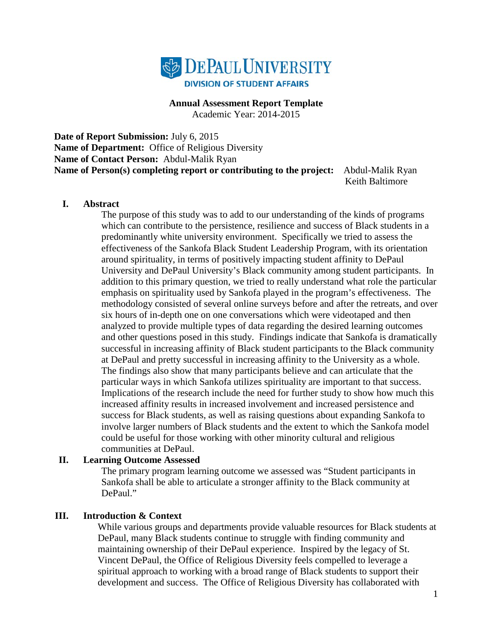

#### **Annual Assessment Report Template**

Academic Year: 2014-2015

**Date of Report Submission:** July 6, 2015 **Name of Department:** Office of Religious Diversity **Name of Contact Person:** Abdul-Malik Ryan **Name of Person(s) completing report or contributing to the project:** Abdul-Malik Ryan Keith Baltimore

#### **I. Abstract**

The purpose of this study was to add to our understanding of the kinds of programs which can contribute to the persistence, resilience and success of Black students in a predominantly white university environment. Specifically we tried to assess the effectiveness of the Sankofa Black Student Leadership Program, with its orientation around spirituality, in terms of positively impacting student affinity to DePaul University and DePaul University's Black community among student participants. In addition to this primary question, we tried to really understand what role the particular emphasis on spirituality used by Sankofa played in the program's effectiveness. The methodology consisted of several online surveys before and after the retreats, and over six hours of in-depth one on one conversations which were videotaped and then analyzed to provide multiple types of data regarding the desired learning outcomes and other questions posed in this study. Findings indicate that Sankofa is dramatically successful in increasing affinity of Black student participants to the Black community at DePaul and pretty successful in increasing affinity to the University as a whole. The findings also show that many participants believe and can articulate that the particular ways in which Sankofa utilizes spirituality are important to that success. Implications of the research include the need for further study to show how much this increased affinity results in increased involvement and increased persistence and success for Black students, as well as raising questions about expanding Sankofa to involve larger numbers of Black students and the extent to which the Sankofa model could be useful for those working with other minority cultural and religious communities at DePaul.

#### **II. Learning Outcome Assessed**

The primary program learning outcome we assessed was "Student participants in Sankofa shall be able to articulate a stronger affinity to the Black community at DePaul."

#### **III. Introduction & Context**

While various groups and departments provide valuable resources for Black students at DePaul, many Black students continue to struggle with finding community and maintaining ownership of their DePaul experience. Inspired by the legacy of St. Vincent DePaul, the Office of Religious Diversity feels compelled to leverage a spiritual approach to working with a broad range of Black students to support their development and success. The Office of Religious Diversity has collaborated with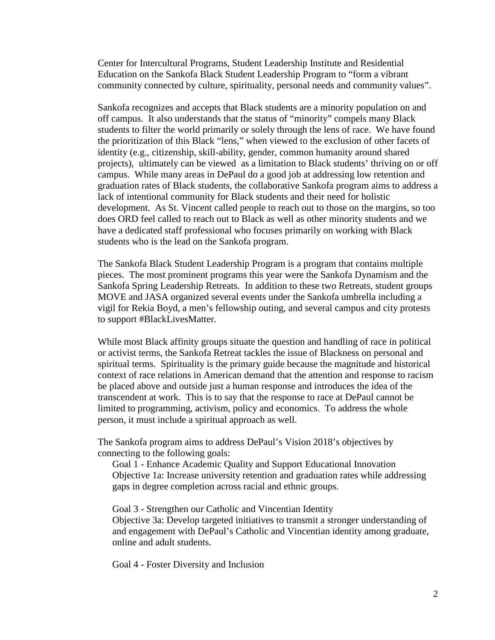Center for Intercultural Programs, Student Leadership Institute and Residential Education on the Sankofa Black Student Leadership Program to "form a vibrant community connected by culture, spirituality, personal needs and community values".

Sankofa recognizes and accepts that Black students are a minority population on and off campus. It also understands that the status of "minority" compels many Black students to filter the world primarily or solely through the lens of race. We have found the prioritization of this Black "lens," when viewed to the exclusion of other facets of identity (e.g., citizenship, skill-ability, gender, common humanity around shared projects), ultimately can be viewed as a limitation to Black students' thriving on or off campus. While many areas in DePaul do a good job at addressing low retention and graduation rates of Black students, the collaborative Sankofa program aims to address a lack of intentional community for Black students and their need for holistic development. As St. Vincent called people to reach out to those on the margins, so too does ORD feel called to reach out to Black as well as other minority students and we have a dedicated staff professional who focuses primarily on working with Black students who is the lead on the Sankofa program.

The Sankofa Black Student Leadership Program is a program that contains multiple pieces. The most prominent programs this year were the Sankofa Dynamism and the Sankofa Spring Leadership Retreats. In addition to these two Retreats, student groups MOVE and JASA organized several events under the Sankofa umbrella including a vigil for Rekia Boyd, a men's fellowship outing, and several campus and city protests to support #BlackLivesMatter.

While most Black affinity groups situate the question and handling of race in political or activist terms, the Sankofa Retreat tackles the issue of Blackness on personal and spiritual terms. Spirituality is the primary guide because the magnitude and historical context of race relations in American demand that the attention and response to racism be placed above and outside just a human response and introduces the idea of the transcendent at work. This is to say that the response to race at DePaul cannot be limited to programming, activism, policy and economics. To address the whole person, it must include a spiritual approach as well.

The Sankofa program aims to address DePaul's Vision 2018's objectives by connecting to the following goals:

Goal 1 - Enhance Academic Quality and Support Educational Innovation Objective 1a: Increase university retention and graduation rates while addressing gaps in degree completion across racial and ethnic groups.

Goal 3 - Strengthen our Catholic and Vincentian Identity Objective 3a: Develop targeted initiatives to transmit a stronger understanding of and engagement with DePaul's Catholic and Vincentian identity among graduate, online and adult students.

Goal 4 - Foster Diversity and Inclusion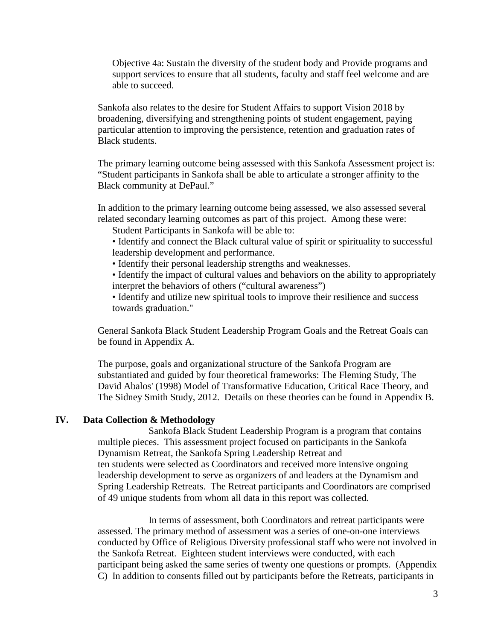Objective 4a: Sustain the diversity of the student body and Provide programs and support services to ensure that all students, faculty and staff feel welcome and are able to succeed.

Sankofa also relates to the desire for Student Affairs to support Vision 2018 by broadening, diversifying and strengthening points of student engagement, paying particular attention to improving the persistence, retention and graduation rates of Black students.

The primary learning outcome being assessed with this Sankofa Assessment project is: "Student participants in Sankofa shall be able to articulate a stronger affinity to the Black community at DePaul."

In addition to the primary learning outcome being assessed, we also assessed several related secondary learning outcomes as part of this project. Among these were:

Student Participants in Sankofa will be able to:

- Identify and connect the Black cultural value of spirit or spirituality to successful leadership development and performance.
- Identify their personal leadership strengths and weaknesses.
- Identify the impact of cultural values and behaviors on the ability to appropriately interpret the behaviors of others ("cultural awareness")

• Identify and utilize new spiritual tools to improve their resilience and success towards graduation."

General Sankofa Black Student Leadership Program Goals and the Retreat Goals can be found in Appendix A.

The purpose, goals and organizational structure of the Sankofa Program are substantiated and guided by four theoretical frameworks: The Fleming Study, The David Abalos' (1998) Model of Transformative Education, Critical Race Theory, and The Sidney Smith Study, 2012. Details on these theories can be found in Appendix B.

#### **IV. Data Collection & Methodology**

Sankofa Black Student Leadership Program is a program that contains multiple pieces. This assessment project focused on participants in the Sankofa Dynamism Retreat, the Sankofa Spring Leadership Retreat and ten students were selected as Coordinators and received more intensive ongoing leadership development to serve as organizers of and leaders at the Dynamism and Spring Leadership Retreats. The Retreat participants and Coordinators are comprised of 49 unique students from whom all data in this report was collected.

In terms of assessment, both Coordinators and retreat participants were assessed. The primary method of assessment was a series of one-on-one interviews conducted by Office of Religious Diversity professional staff who were not involved in the Sankofa Retreat. Eighteen student interviews were conducted, with each participant being asked the same series of twenty one questions or prompts. (Appendix C) In addition to consents filled out by participants before the Retreats, participants in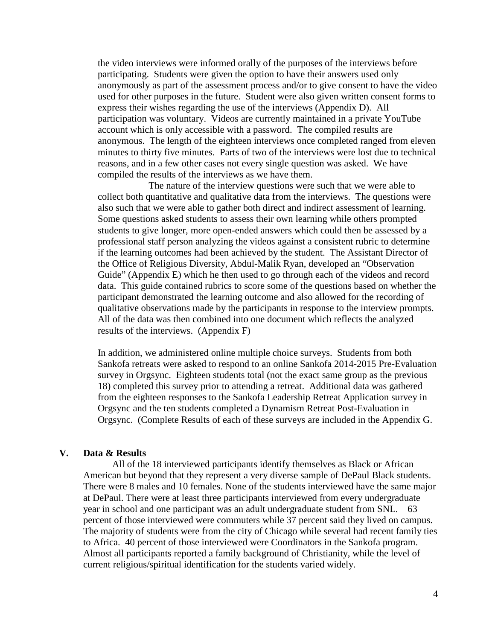the video interviews were informed orally of the purposes of the interviews before participating. Students were given the option to have their answers used only anonymously as part of the assessment process and/or to give consent to have the video used for other purposes in the future. Student were also given written consent forms to express their wishes regarding the use of the interviews (Appendix D). All participation was voluntary. Videos are currently maintained in a private YouTube account which is only accessible with a password. The compiled results are anonymous. The length of the eighteen interviews once completed ranged from eleven minutes to thirty five minutes. Parts of two of the interviews were lost due to technical reasons, and in a few other cases not every single question was asked. We have compiled the results of the interviews as we have them.

The nature of the interview questions were such that we were able to collect both quantitative and qualitative data from the interviews. The questions were also such that we were able to gather both direct and indirect assessment of learning. Some questions asked students to assess their own learning while others prompted students to give longer, more open-ended answers which could then be assessed by a professional staff person analyzing the videos against a consistent rubric to determine if the learning outcomes had been achieved by the student. The Assistant Director of the Office of Religious Diversity, Abdul-Malik Ryan, developed an "Observation Guide" (Appendix E) which he then used to go through each of the videos and record data. This guide contained rubrics to score some of the questions based on whether the participant demonstrated the learning outcome and also allowed for the recording of qualitative observations made by the participants in response to the interview prompts. All of the data was then combined into one document which reflects the analyzed results of the interviews. (Appendix F)

In addition, we administered online multiple choice surveys. Students from both Sankofa retreats were asked to respond to an online Sankofa 2014-2015 Pre-Evaluation survey in Orgsync. Eighteen students total (not the exact same group as the previous 18) completed this survey prior to attending a retreat. Additional data was gathered from the eighteen responses to the Sankofa Leadership Retreat Application survey in Orgsync and the ten students completed a Dynamism Retreat Post-Evaluation in Orgsync. (Complete Results of each of these surveys are included in the Appendix G.

#### **V. Data & Results**

All of the 18 interviewed participants identify themselves as Black or African American but beyond that they represent a very diverse sample of DePaul Black students. There were 8 males and 10 females. None of the students interviewed have the same major at DePaul. There were at least three participants interviewed from every undergraduate year in school and one participant was an adult undergraduate student from SNL. 63 percent of those interviewed were commuters while 37 percent said they lived on campus. The majority of students were from the city of Chicago while several had recent family ties to Africa. 40 percent of those interviewed were Coordinators in the Sankofa program. Almost all participants reported a family background of Christianity, while the level of current religious/spiritual identification for the students varied widely.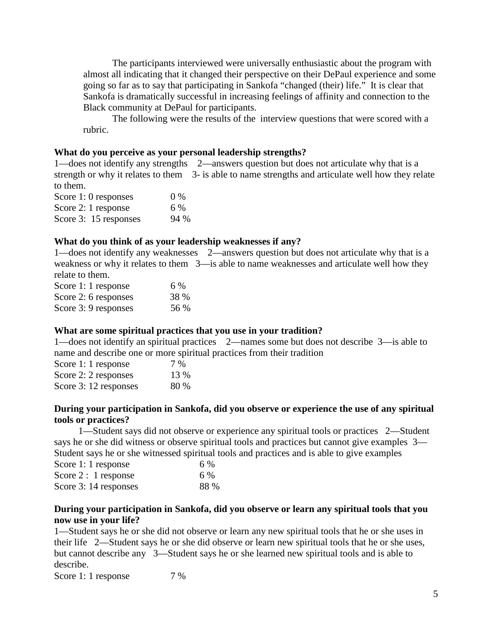The participants interviewed were universally enthusiastic about the program with almost all indicating that it changed their perspective on their DePaul experience and some going so far as to say that participating in Sankofa "changed (their) life." It is clear that Sankofa is dramatically successful in increasing feelings of affinity and connection to the Black community at DePaul for participants.

The following were the results of the interview questions that were scored with a rubric.

#### **What do you perceive as your personal leadership strengths?**

1—does not identify any strengths 2—answers question but does not articulate why that is a strength or why it relates to them 3- is able to name strengths and articulate well how they relate to them.

Score 1: 0 responses 0 % Score 2: 1 response 6 % Score 3: 15 responses 94 %

#### **What do you think of as your leadership weaknesses if any?**

1—does not identify any weaknesses 2—answers question but does not articulate why that is a weakness or why it relates to them 3—is able to name weaknesses and articulate well how they relate to them.

| Score 1: 1 response  | 6 %         |
|----------------------|-------------|
| Score 2: 6 responses | <b>38 %</b> |
| Score 3: 9 responses | 56 %        |

#### **What are some spiritual practices that you use in your tradition?**

1—does not identify an spiritual practices 2—names some but does not describe 3—is able to name and describe one or more spiritual practices from their tradition

| Score 1: 1 response   | 7 %  |
|-----------------------|------|
| Score 2: 2 responses  | 13 % |
| Score 3: 12 responses | 80 % |

#### **During your participation in Sankofa, did you observe or experience the use of any spiritual tools or practices?**

 1—Student says did not observe or experience any spiritual tools or practices 2—Student says he or she did witness or observe spiritual tools and practices but cannot give examples 3— Student says he or she witnessed spiritual tools and practices and is able to give examples

| Score 1: 1 response   | 6 %  |
|-----------------------|------|
| Score $2:1$ response  | 6 %  |
| Score 3: 14 responses | 88 % |

#### **During your participation in Sankofa, did you observe or learn any spiritual tools that you now use in your life?**

1—Student says he or she did not observe or learn any new spiritual tools that he or she uses in their life 2—Student says he or she did observe or learn new spiritual tools that he or she uses, but cannot describe any 3—Student says he or she learned new spiritual tools and is able to describe.

Score 1: 1 response 7 %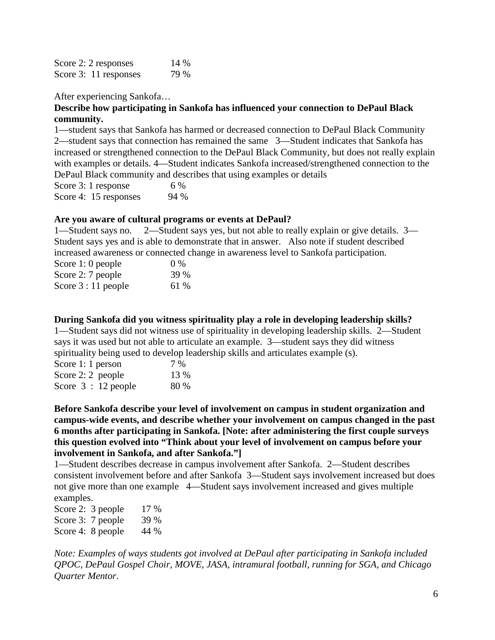| Score 2: 2 responses  | 14 % |
|-----------------------|------|
| Score 3: 11 responses | 79 % |

After experiencing Sankofa…

#### **Describe how participating in Sankofa has influenced your connection to DePaul Black community.**

1—student says that Sankofa has harmed or decreased connection to DePaul Black Community 2—student says that connection has remained the same 3—Student indicates that Sankofa has increased or strengthened connection to the DePaul Black Community, but does not really explain with examples or details. 4—Student indicates Sankofa increased/strengthened connection to the DePaul Black community and describes that using examples or details

Score 3: 1 response 6 % Score 4: 15 responses 94 %

#### **Are you aware of cultural programs or events at DePaul?**

1—Student says no. 2—Student says yes, but not able to really explain or give details. 3— Student says yes and is able to demonstrate that in answer. Also note if student described increased awareness or connected change in awareness level to Sankofa participation.

| Score 1: 0 people   | $0\%$ |
|---------------------|-------|
| Score 2: 7 people   | 39 %  |
| Score $3:11$ people | 61 %  |

#### **During Sankofa did you witness spirituality play a role in developing leadership skills?**

1—Student says did not witness use of spirituality in developing leadership skills. 2—Student says it was used but not able to articulate an example. 3—student says they did witness spirituality being used to develop leadership skills and articulates example (s).

| Score 1: 1 person   | 7 %  |
|---------------------|------|
| Score $2:2$ people  | 13 % |
| Score $3:12$ people | 80 % |

**Before Sankofa describe your level of involvement on campus in student organization and campus-wide events, and describe whether your involvement on campus changed in the past 6 months after participating in Sankofa. [Note: after administering the first couple surveys this question evolved into "Think about your level of involvement on campus before your involvement in Sankofa, and after Sankofa."]**

1—Student describes decrease in campus involvement after Sankofa. 2—Student describes consistent involvement before and after Sankofa 3—Student says involvement increased but does not give more than one example 4—Student says involvement increased and gives multiple examples.

| Score 2: 3 people | 17 % |
|-------------------|------|
| Score 3: 7 people | 39 % |
| Score 4: 8 people | 44 % |

*Note: Examples of ways students got involved at DePaul after participating in Sankofa included QPOC, DePaul Gospel Choir, MOVE, JASA, intramural football, running for SGA, and Chicago Quarter Mentor*.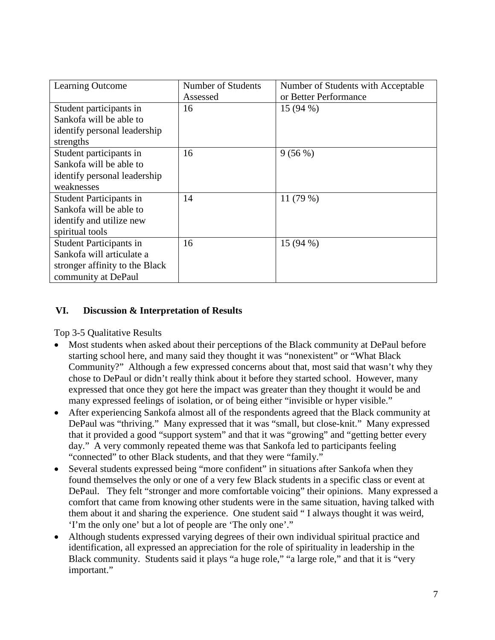| Learning Outcome               | Number of Students | Number of Students with Acceptable |
|--------------------------------|--------------------|------------------------------------|
|                                | Assessed           | or Better Performance              |
| Student participants in        | 16                 | $15(94\%)$                         |
| Sankofa will be able to        |                    |                                    |
| identify personal leadership   |                    |                                    |
| strengths                      |                    |                                    |
| Student participants in        | 16                 | 9(56%)                             |
| Sankofa will be able to        |                    |                                    |
| identify personal leadership   |                    |                                    |
| weaknesses                     |                    |                                    |
| <b>Student Participants in</b> | 14                 | 11 $(79%)$                         |
| Sankofa will be able to        |                    |                                    |
| identify and utilize new       |                    |                                    |
| spiritual tools                |                    |                                    |
| <b>Student Participants in</b> | 16                 | $15(94\%)$                         |
| Sankofa will articulate a      |                    |                                    |
| stronger affinity to the Black |                    |                                    |
| community at DePaul            |                    |                                    |

### **VI. Discussion & Interpretation of Results**

Top 3-5 Qualitative Results

- Most students when asked about their perceptions of the Black community at DePaul before starting school here, and many said they thought it was "nonexistent" or "What Black Community?" Although a few expressed concerns about that, most said that wasn't why they chose to DePaul or didn't really think about it before they started school. However, many expressed that once they got here the impact was greater than they thought it would be and many expressed feelings of isolation, or of being either "invisible or hyper visible."
- After experiencing Sankofa almost all of the respondents agreed that the Black community at DePaul was "thriving." Many expressed that it was "small, but close-knit." Many expressed that it provided a good "support system" and that it was "growing" and "getting better every day." A very commonly repeated theme was that Sankofa led to participants feeling "connected" to other Black students, and that they were "family."
- Several students expressed being "more confident" in situations after Sankofa when they found themselves the only or one of a very few Black students in a specific class or event at DePaul. They felt "stronger and more comfortable voicing" their opinions. Many expressed a comfort that came from knowing other students were in the same situation, having talked with them about it and sharing the experience. One student said " I always thought it was weird, 'I'm the only one' but a lot of people are 'The only one'."
- Although students expressed varying degrees of their own individual spiritual practice and identification, all expressed an appreciation for the role of spirituality in leadership in the Black community. Students said it plays "a huge role," "a large role," and that it is "very important."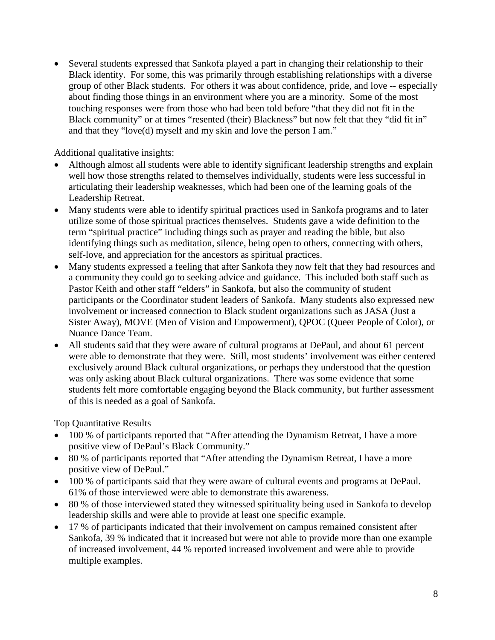• Several students expressed that Sankofa played a part in changing their relationship to their Black identity. For some, this was primarily through establishing relationships with a diverse group of other Black students. For others it was about confidence, pride, and love -- especially about finding those things in an environment where you are a minority. Some of the most touching responses were from those who had been told before "that they did not fit in the Black community" or at times "resented (their) Blackness" but now felt that they "did fit in" and that they "love(d) myself and my skin and love the person I am."

Additional qualitative insights:

- Although almost all students were able to identify significant leadership strengths and explain well how those strengths related to themselves individually, students were less successful in articulating their leadership weaknesses, which had been one of the learning goals of the Leadership Retreat.
- Many students were able to identify spiritual practices used in Sankofa programs and to later utilize some of those spiritual practices themselves. Students gave a wide definition to the term "spiritual practice" including things such as prayer and reading the bible, but also identifying things such as meditation, silence, being open to others, connecting with others, self-love, and appreciation for the ancestors as spiritual practices.
- Many students expressed a feeling that after Sankofa they now felt that they had resources and a community they could go to seeking advice and guidance. This included both staff such as Pastor Keith and other staff "elders" in Sankofa, but also the community of student participants or the Coordinator student leaders of Sankofa. Many students also expressed new involvement or increased connection to Black student organizations such as JASA (Just a Sister Away), MOVE (Men of Vision and Empowerment), QPOC (Queer People of Color), or Nuance Dance Team.
- All students said that they were aware of cultural programs at DePaul, and about 61 percent were able to demonstrate that they were. Still, most students' involvement was either centered exclusively around Black cultural organizations, or perhaps they understood that the question was only asking about Black cultural organizations. There was some evidence that some students felt more comfortable engaging beyond the Black community, but further assessment of this is needed as a goal of Sankofa.

Top Quantitative Results

- 100 % of participants reported that "After attending the Dynamism Retreat, I have a more positive view of DePaul's Black Community."
- 80 % of participants reported that "After attending the Dynamism Retreat, I have a more positive view of DePaul."
- 100 % of participants said that they were aware of cultural events and programs at DePaul. 61% of those interviewed were able to demonstrate this awareness.
- 80 % of those interviewed stated they witnessed spirituality being used in Sankofa to develop leadership skills and were able to provide at least one specific example.
- 17 % of participants indicated that their involvement on campus remained consistent after Sankofa, 39 % indicated that it increased but were not able to provide more than one example of increased involvement, 44 % reported increased involvement and were able to provide multiple examples.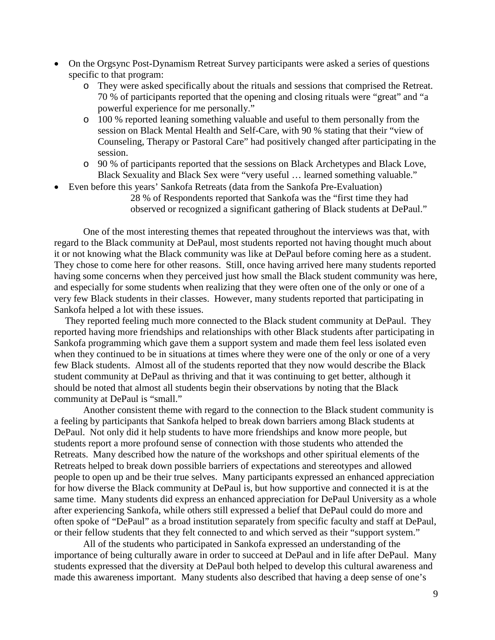- On the Orgsync Post-Dynamism Retreat Survey participants were asked a series of questions specific to that program:
	- o They were asked specifically about the rituals and sessions that comprised the Retreat. 70 % of participants reported that the opening and closing rituals were "great" and "a powerful experience for me personally."
	- o 100 % reported leaning something valuable and useful to them personally from the session on Black Mental Health and Self-Care, with 90 % stating that their "view of Counseling, Therapy or Pastoral Care" had positively changed after participating in the session.
	- o 90 % of participants reported that the sessions on Black Archetypes and Black Love, Black Sexuality and Black Sex were "very useful … learned something valuable."
- Even before this years' Sankofa Retreats (data from the Sankofa Pre-Evaluation)

28 % of Respondents reported that Sankofa was the "first time they had observed or recognized a significant gathering of Black students at DePaul."

One of the most interesting themes that repeated throughout the interviews was that, with regard to the Black community at DePaul, most students reported not having thought much about it or not knowing what the Black community was like at DePaul before coming here as a student. They chose to come here for other reasons. Still, once having arrived here many students reported having some concerns when they perceived just how small the Black student community was here, and especially for some students when realizing that they were often one of the only or one of a very few Black students in their classes. However, many students reported that participating in Sankofa helped a lot with these issues.

They reported feeling much more connected to the Black student community at DePaul. They reported having more friendships and relationships with other Black students after participating in Sankofa programming which gave them a support system and made them feel less isolated even when they continued to be in situations at times where they were one of the only or one of a very few Black students. Almost all of the students reported that they now would describe the Black student community at DePaul as thriving and that it was continuing to get better, although it should be noted that almost all students begin their observations by noting that the Black community at DePaul is "small."

Another consistent theme with regard to the connection to the Black student community is a feeling by participants that Sankofa helped to break down barriers among Black students at DePaul. Not only did it help students to have more friendships and know more people, but students report a more profound sense of connection with those students who attended the Retreats. Many described how the nature of the workshops and other spiritual elements of the Retreats helped to break down possible barriers of expectations and stereotypes and allowed people to open up and be their true selves. Many participants expressed an enhanced appreciation for how diverse the Black community at DePaul is, but how supportive and connected it is at the same time. Many students did express an enhanced appreciation for DePaul University as a whole after experiencing Sankofa, while others still expressed a belief that DePaul could do more and often spoke of "DePaul" as a broad institution separately from specific faculty and staff at DePaul, or their fellow students that they felt connected to and which served as their "support system."

All of the students who participated in Sankofa expressed an understanding of the importance of being culturally aware in order to succeed at DePaul and in life after DePaul. Many students expressed that the diversity at DePaul both helped to develop this cultural awareness and made this awareness important. Many students also described that having a deep sense of one's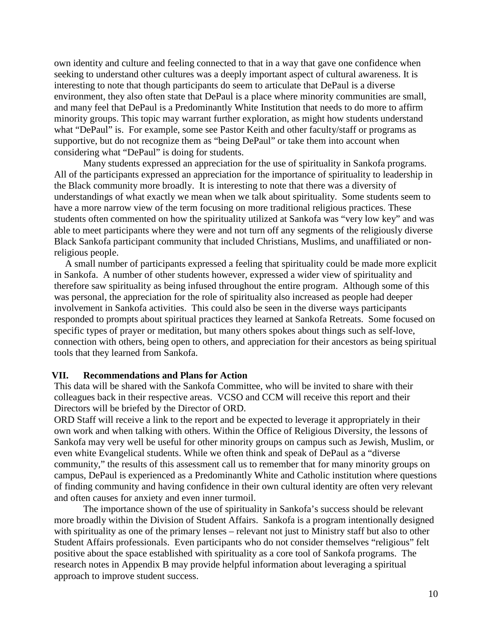own identity and culture and feeling connected to that in a way that gave one confidence when seeking to understand other cultures was a deeply important aspect of cultural awareness. It is interesting to note that though participants do seem to articulate that DePaul is a diverse environment, they also often state that DePaul is a place where minority communities are small, and many feel that DePaul is a Predominantly White Institution that needs to do more to affirm minority groups. This topic may warrant further exploration, as might how students understand what "DePaul" is. For example, some see Pastor Keith and other faculty/staff or programs as supportive, but do not recognize them as "being DePaul" or take them into account when considering what "DePaul" is doing for students.

Many students expressed an appreciation for the use of spirituality in Sankofa programs. All of the participants expressed an appreciation for the importance of spirituality to leadership in the Black community more broadly. It is interesting to note that there was a diversity of understandings of what exactly we mean when we talk about spirituality. Some students seem to have a more narrow view of the term focusing on more traditional religious practices. These students often commented on how the spirituality utilized at Sankofa was "very low key" and was able to meet participants where they were and not turn off any segments of the religiously diverse Black Sankofa participant community that included Christians, Muslims, and unaffiliated or nonreligious people.

A small number of participants expressed a feeling that spirituality could be made more explicit in Sankofa. A number of other students however, expressed a wider view of spirituality and therefore saw spirituality as being infused throughout the entire program. Although some of this was personal, the appreciation for the role of spirituality also increased as people had deeper involvement in Sankofa activities. This could also be seen in the diverse ways participants responded to prompts about spiritual practices they learned at Sankofa Retreats. Some focused on specific types of prayer or meditation, but many others spokes about things such as self-love, connection with others, being open to others, and appreciation for their ancestors as being spiritual tools that they learned from Sankofa.

#### **VII. Recommendations and Plans for Action**

This data will be shared with the Sankofa Committee, who will be invited to share with their colleagues back in their respective areas. VCSO and CCM will receive this report and their Directors will be briefed by the Director of ORD.

ORD Staff will receive a link to the report and be expected to leverage it appropriately in their own work and when talking with others. Within the Office of Religious Diversity, the lessons of Sankofa may very well be useful for other minority groups on campus such as Jewish, Muslim, or even white Evangelical students. While we often think and speak of DePaul as a "diverse community," the results of this assessment call us to remember that for many minority groups on campus, DePaul is experienced as a Predominantly White and Catholic institution where questions of finding community and having confidence in their own cultural identity are often very relevant and often causes for anxiety and even inner turmoil.

The importance shown of the use of spirituality in Sankofa's success should be relevant more broadly within the Division of Student Affairs. Sankofa is a program intentionally designed with spirituality as one of the primary lenses – relevant not just to Ministry staff but also to other Student Affairs professionals. Even participants who do not consider themselves "religious" felt positive about the space established with spirituality as a core tool of Sankofa programs. The research notes in Appendix B may provide helpful information about leveraging a spiritual approach to improve student success.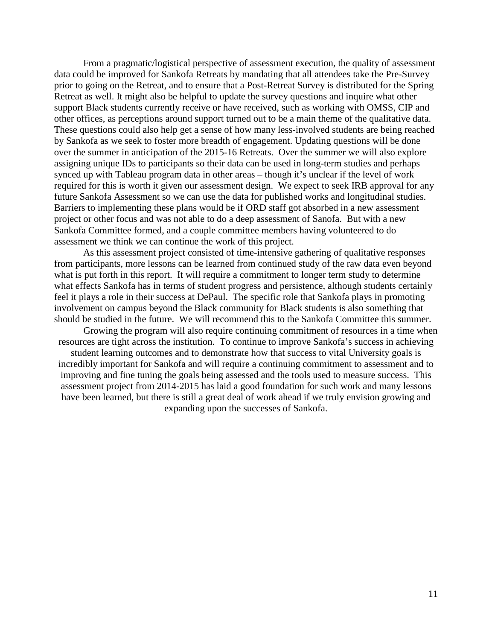From a pragmatic/logistical perspective of assessment execution, the quality of assessment data could be improved for Sankofa Retreats by mandating that all attendees take the Pre-Survey prior to going on the Retreat, and to ensure that a Post-Retreat Survey is distributed for the Spring Retreat as well. It might also be helpful to update the survey questions and inquire what other support Black students currently receive or have received, such as working with OMSS, CIP and other offices, as perceptions around support turned out to be a main theme of the qualitative data. These questions could also help get a sense of how many less-involved students are being reached by Sankofa as we seek to foster more breadth of engagement. Updating questions will be done over the summer in anticipation of the 2015-16 Retreats. Over the summer we will also explore assigning unique IDs to participants so their data can be used in long-term studies and perhaps synced up with Tableau program data in other areas – though it's unclear if the level of work required for this is worth it given our assessment design. We expect to seek IRB approval for any future Sankofa Assessment so we can use the data for published works and longitudinal studies. Barriers to implementing these plans would be if ORD staff got absorbed in a new assessment project or other focus and was not able to do a deep assessment of Sanofa. But with a new Sankofa Committee formed, and a couple committee members having volunteered to do assessment we think we can continue the work of this project.

As this assessment project consisted of time-intensive gathering of qualitative responses from participants, more lessons can be learned from continued study of the raw data even beyond what is put forth in this report. It will require a commitment to longer term study to determine what effects Sankofa has in terms of student progress and persistence, although students certainly feel it plays a role in their success at DePaul. The specific role that Sankofa plays in promoting involvement on campus beyond the Black community for Black students is also something that should be studied in the future. We will recommend this to the Sankofa Committee this summer.

Growing the program will also require continuing commitment of resources in a time when resources are tight across the institution. To continue to improve Sankofa's success in achieving student learning outcomes and to demonstrate how that success to vital University goals is incredibly important for Sankofa and will require a continuing commitment to assessment and to improving and fine tuning the goals being assessed and the tools used to measure success. This assessment project from 2014-2015 has laid a good foundation for such work and many lessons have been learned, but there is still a great deal of work ahead if we truly envision growing and expanding upon the successes of Sankofa.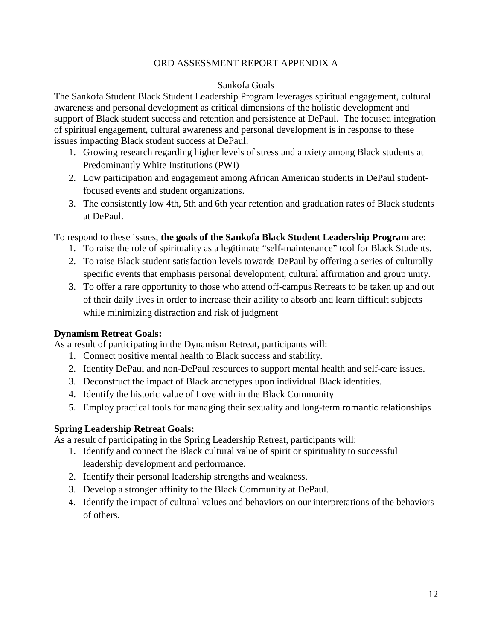#### ORD ASSESSMENT REPORT APPENDIX A

#### Sankofa Goals

The Sankofa Student Black Student Leadership Program leverages spiritual engagement, cultural awareness and personal development as critical dimensions of the holistic development and support of Black student success and retention and persistence at DePaul. The focused integration of spiritual engagement, cultural awareness and personal development is in response to these issues impacting Black student success at DePaul:

- 1. Growing research regarding higher levels of stress and anxiety among Black students at Predominantly White Institutions (PWI)
- 2. Low participation and engagement among African American students in DePaul studentfocused events and student organizations.
- 3. The consistently low 4th, 5th and 6th year retention and graduation rates of Black students at DePaul.

#### To respond to these issues, **the goals of the Sankofa Black Student Leadership Program** are:

- 1. To raise the role of spirituality as a legitimate "self-maintenance" tool for Black Students.
- 2. To raise Black student satisfaction levels towards DePaul by offering a series of culturally specific events that emphasis personal development, cultural affirmation and group unity.
- 3. To offer a rare opportunity to those who attend off-campus Retreats to be taken up and out of their daily lives in order to increase their ability to absorb and learn difficult subjects while minimizing distraction and risk of judgment

#### **Dynamism Retreat Goals:**

As a result of participating in the Dynamism Retreat, participants will:

- 1. Connect positive mental health to Black success and stability.
- 2. Identity DePaul and non-DePaul resources to support mental health and self-care issues.
- 3. Deconstruct the impact of Black archetypes upon individual Black identities.
- 4. Identify the historic value of Love with in the Black Community
- 5. Employ practical tools for managing their sexuality and long-term romantic relationships

#### **Spring Leadership Retreat Goals:**

As a result of participating in the Spring Leadership Retreat, participants will:

- 1. Identify and connect the Black cultural value of spirit or spirituality to successful leadership development and performance.
- 2. Identify their personal leadership strengths and weakness.
- 3. Develop a stronger affinity to the Black Community at DePaul.
- 4. Identify the impact of cultural values and behaviors on our interpretations of the behaviors of others.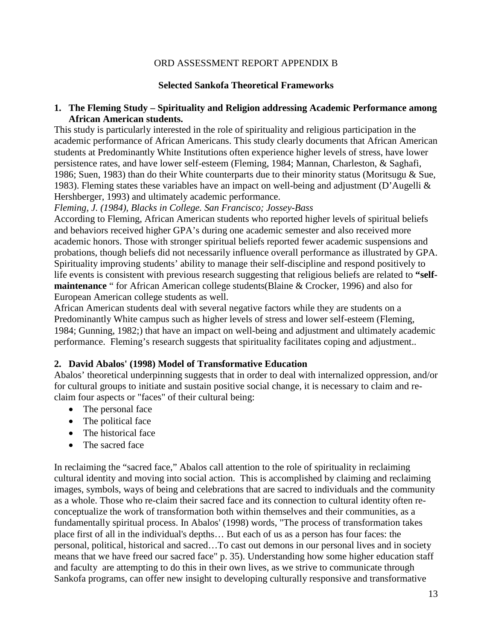#### ORD ASSESSMENT REPORT APPENDIX B

#### **Selected Sankofa Theoretical Frameworks**

#### **1. The Fleming Study – Spirituality and Religion addressing Academic Performance among African American students.**

This study is particularly interested in the role of spirituality and religious participation in the academic performance of African Americans. This study clearly documents that African American students at Predominantly White Institutions often experience higher levels of stress, have lower persistence rates, and have lower self-esteem (Fleming, 1984; Mannan, Charleston, & Saghafi, 1986; Suen, 1983) than do their White counterparts due to their minority status (Moritsugu & Sue, 1983). Fleming states these variables have an impact on well-being and adjustment (D'Augelli & Hershberger, 1993) and ultimately academic performance.

*Fleming, J. (1984), Blacks in College. San Francisco; Jossey-Bass*

According to Fleming, African American students who reported higher levels of spiritual beliefs and behaviors received higher GPA's during one academic semester and also received more academic honors. Those with stronger spiritual beliefs reported fewer academic suspensions and probations, though beliefs did not necessarily influence overall performance as illustrated by GPA. Spirituality improving students' ability to manage their self-discipline and respond positively to life events is consistent with previous research suggesting that religious beliefs are related to **"selfmaintenance** " for African American college students(Blaine & Crocker, 1996) and also for European American college students as well.

African American students deal with several negative factors while they are students on a Predominantly White campus such as higher levels of stress and lower self-esteem (Fleming, 1984; Gunning, 1982;) that have an impact on well-being and adjustment and ultimately academic performance. Fleming's research suggests that spirituality facilitates coping and adjustment..

#### **2. David Abalos' (1998) Model of Transformative Education**

Abalos' theoretical underpinning suggests that in order to deal with internalized oppression, and/or for cultural groups to initiate and sustain positive social change, it is necessary to claim and reclaim four aspects or "faces" of their cultural being:

- The personal face
- The political face
- The historical face
- The sacred face

In reclaiming the "sacred face," Abalos call attention to the role of spirituality in reclaiming cultural identity and moving into social action. This is accomplished by claiming and reclaiming images, symbols, ways of being and celebrations that are sacred to individuals and the community as a whole. Those who re-claim their sacred face and its connection to cultural identity often reconceptualize the work of transformation both within themselves and their communities, as a fundamentally spiritual process. In Abalos' (1998) words, "The process of transformation takes place first of all in the individual's depths… But each of us as a person has four faces: the personal, political, historical and sacred…To cast out demons in our personal lives and in society means that we have freed our sacred face" p. 35). Understanding how some higher education staff and faculty are attempting to do this in their own lives, as we strive to communicate through Sankofa programs, can offer new insight to developing culturally responsive and transformative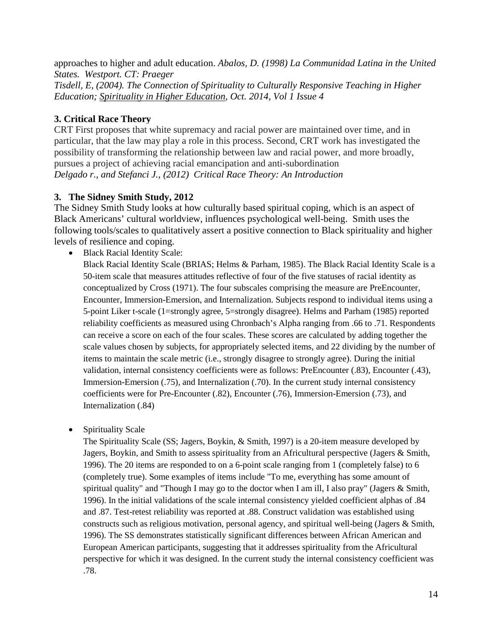approaches to higher and adult education. *Abalos, D. (1998) La Communidad Latina in the United States. Westport. CT: Praeger Tisdell, E, (2004). The Connection of Spirituality to Culturally Responsive Teaching in Higher Education; Spirituality in Higher Education, Oct. 2014, Vol 1 Issue 4*

### **3. Critical Race Theory**

CRT First proposes that white supremacy and racial power are maintained over time, and in particular, that the law may play a role in this process. Second, CRT work has investigated the possibility of transforming the relationship between law and racial power, and more broadly, pursues a project of achieving racial emancipation and anti-subordination *Delgado r., and Stefanci J., (2012) Critical Race Theory: An Introduction* 

### **3. The Sidney Smith Study, 2012**

The Sidney Smith Study looks at how culturally based spiritual coping, which is an aspect of Black Americans' cultural worldview, influences psychological well-being. Smith uses the following tools/scales to qualitatively assert a positive connection to Black spirituality and higher levels of resilience and coping.

• Black Racial Identity Scale:

Black Racial Identity Scale (BRIAS; Helms & Parham, 1985). The Black Racial Identity Scale is a 50-item scale that measures attitudes reflective of four of the five statuses of racial identity as conceptualized by Cross (1971). The four subscales comprising the measure are PreEncounter, Encounter, Immersion-Emersion, and Internalization. Subjects respond to individual items using a 5-point Liker t-scale (1=strongly agree, 5=strongly disagree). Helms and Parham (1985) reported reliability coefficients as measured using Chronbach's Alpha ranging from .66 to .71. Respondents can receive a score on each of the four scales. These scores are calculated by adding together the scale values chosen by subjects, for appropriately selected items, and 22 dividing by the number of items to maintain the scale metric (i.e., strongly disagree to strongly agree). During the initial validation, internal consistency coefficients were as follows: PreEncounter (.83), Encounter (.43), Immersion-Emersion (.75), and Internalization (.70). In the current study internal consistency coefficients were for Pre-Encounter (.82), Encounter (.76), Immersion-Emersion (.73), and Internalization (.84)

• Spirituality Scale

The Spirituality Scale (SS; Jagers, Boykin, & Smith, 1997) is a 20-item measure developed by Jagers, Boykin, and Smith to assess spirituality from an Africultural perspective (Jagers & Smith, 1996). The 20 items are responded to on a 6-point scale ranging from 1 (completely false) to 6 (completely true). Some examples of items include "To me, everything has some amount of spiritual quality" and "Though I may go to the doctor when I am ill, I also pray" (Jagers  $\&$  Smith, 1996). In the initial validations of the scale internal consistency yielded coefficient alphas of .84 and .87. Test-retest reliability was reported at .88. Construct validation was established using constructs such as religious motivation, personal agency, and spiritual well-being (Jagers & Smith, 1996). The SS demonstrates statistically significant differences between African American and European American participants, suggesting that it addresses spirituality from the Africultural perspective for which it was designed. In the current study the internal consistency coefficient was .78.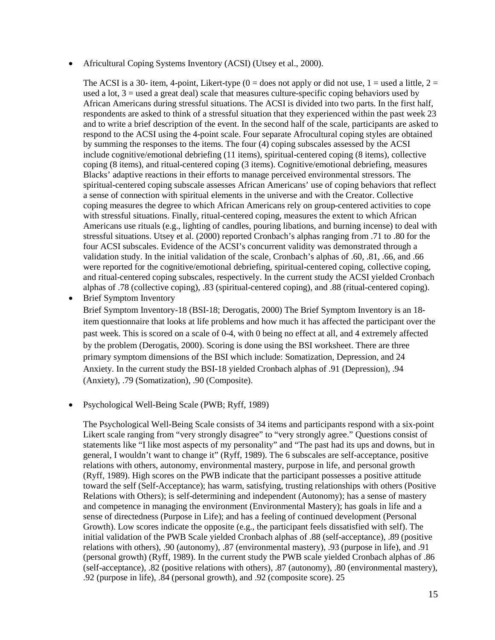• Africultural Coping Systems Inventory (ACSI) (Utsey et al., 2000).

The ACSI is a 30- item, 4-point, Likert-type (0 = does not apply or did not use, 1 = used a little, 2 = used a lot,  $3 =$  used a great deal) scale that measures culture-specific coping behaviors used by African Americans during stressful situations. The ACSI is divided into two parts. In the first half, respondents are asked to think of a stressful situation that they experienced within the past week 23 and to write a brief description of the event. In the second half of the scale, participants are asked to respond to the ACSI using the 4-point scale. Four separate Afrocultural coping styles are obtained by summing the responses to the items. The four (4) coping subscales assessed by the ACSI include cognitive/emotional debriefing (11 items), spiritual-centered coping (8 items), collective coping (8 items), and ritual-centered coping (3 items). Cognitive/emotional debriefing, measures Blacks' adaptive reactions in their efforts to manage perceived environmental stressors. The spiritual-centered coping subscale assesses African Americans' use of coping behaviors that reflect a sense of connection with spiritual elements in the universe and with the Creator. Collective coping measures the degree to which African Americans rely on group-centered activities to cope with stressful situations. Finally, ritual-centered coping, measures the extent to which African Americans use rituals (e.g., lighting of candles, pouring libations, and burning incense) to deal with stressful situations. Utsey et al. (2000) reported Cronbach's alphas ranging from .71 to .80 for the four ACSI subscales. Evidence of the ACSI's concurrent validity was demonstrated through a validation study. In the initial validation of the scale, Cronbach's alphas of .60, .81, .66, and .66 were reported for the cognitive/emotional debriefing, spiritual-centered coping, collective coping, and ritual-centered coping subscales, respectively. In the current study the ACSI yielded Cronbach alphas of .78 (collective coping), .83 (spiritual-centered coping), and .88 (ritual-centered coping).

**Brief Symptom Inventory** 

Brief Symptom Inventory-18 (BSI-18; Derogatis, 2000) The Brief Symptom Inventory is an 18 item questionnaire that looks at life problems and how much it has affected the participant over the past week. This is scored on a scale of 0-4, with 0 being no effect at all, and 4 extremely affected by the problem (Derogatis, 2000). Scoring is done using the BSI worksheet. There are three primary symptom dimensions of the BSI which include: Somatization, Depression, and 24 Anxiety. In the current study the BSI-18 yielded Cronbach alphas of .91 (Depression), .94 (Anxiety), .79 (Somatization), .90 (Composite).

• Psychological Well-Being Scale (PWB; Ryff, 1989)

The Psychological Well-Being Scale consists of 34 items and participants respond with a six-point Likert scale ranging from "very strongly disagree" to "very strongly agree." Questions consist of statements like "I like most aspects of my personality" and "The past had its ups and downs, but in general, I wouldn't want to change it" (Ryff, 1989). The 6 subscales are self-acceptance, positive relations with others, autonomy, environmental mastery, purpose in life, and personal growth (Ryff, 1989). High scores on the PWB indicate that the participant possesses a positive attitude toward the self (Self-Acceptance); has warm, satisfying, trusting relationships with others (Positive Relations with Others); is self-determining and independent (Autonomy); has a sense of mastery and competence in managing the environment (Environmental Mastery); has goals in life and a sense of directedness (Purpose in Life); and has a feeling of continued development (Personal Growth). Low scores indicate the opposite (e.g., the participant feels dissatisfied with self). The initial validation of the PWB Scale yielded Cronbach alphas of .88 (self-acceptance), .89 (positive relations with others), .90 (autonomy), .87 (environmental mastery), .93 (purpose in life), and .91 (personal growth) (Ryff, 1989). In the current study the PWB scale yielded Cronbach alphas of .86 (self-acceptance), .82 (positive relations with others), .87 (autonomy), .80 (environmental mastery), .92 (purpose in life), .84 (personal growth), and .92 (composite score). 25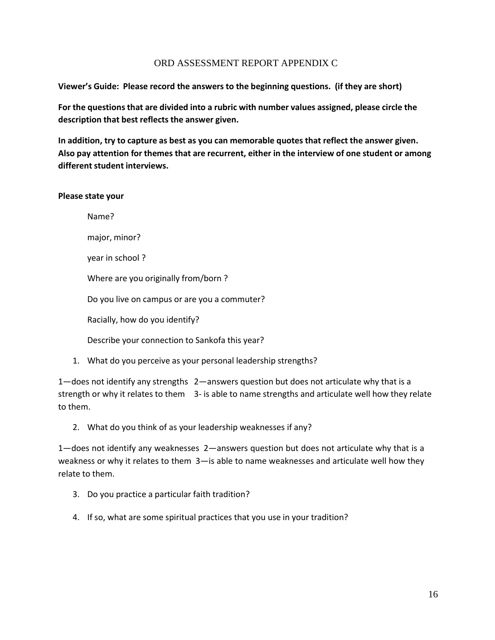#### ORD ASSESSMENT REPORT APPENDIX C

**Viewer's Guide: Please record the answers to the beginning questions. (if they are short)**

**For the questions that are divided into a rubric with number values assigned, please circle the description that best reflects the answer given.**

**In addition, try to capture as best as you can memorable quotes that reflect the answer given. Also pay attention for themes that are recurrent, either in the interview of one student or among different student interviews.** 

#### **Please state your**

Name? major, minor? year in school ? Where are you originally from/born ? Do you live on campus or are you a commuter? Racially, how do you identify? Describe your connection to Sankofa this year?

1. What do you perceive as your personal leadership strengths?

1—does not identify any strengths 2—answers question but does not articulate why that is a strength or why it relates to them 3- is able to name strengths and articulate well how they relate to them.

#### 2. What do you think of as your leadership weaknesses if any?

1—does not identify any weaknesses 2—answers question but does not articulate why that is a weakness or why it relates to them 3—is able to name weaknesses and articulate well how they relate to them.

- 3. Do you practice a particular faith tradition?
- 4. If so, what are some spiritual practices that you use in your tradition?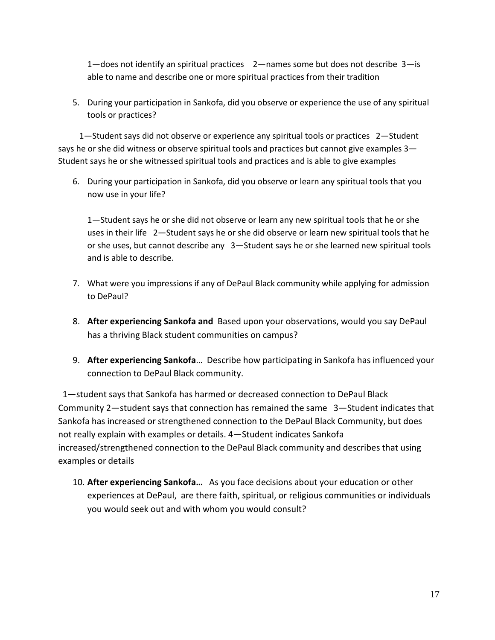1—does not identify an spiritual practices 2—names some but does not describe 3—is able to name and describe one or more spiritual practices from their tradition

5. During your participation in Sankofa, did you observe or experience the use of any spiritual tools or practices?

1—Student says did not observe or experience any spiritual tools or practices 2—Student says he or she did witness or observe spiritual tools and practices but cannot give examples 3— Student says he or she witnessed spiritual tools and practices and is able to give examples

6. During your participation in Sankofa, did you observe or learn any spiritual tools that you now use in your life?

1—Student says he or she did not observe or learn any new spiritual tools that he or she uses in their life 2—Student says he or she did observe or learn new spiritual tools that he or she uses, but cannot describe any 3—Student says he or she learned new spiritual tools and is able to describe.

- 7. What were you impressions if any of DePaul Black community while applying for admission to DePaul?
- 8. **After experiencing Sankofa and** Based upon your observations, would you say DePaul has a thriving Black student communities on campus?
- 9. **After experiencing Sankofa**… Describe how participating in Sankofa has influenced your connection to DePaul Black community.

1—student says that Sankofa has harmed or decreased connection to DePaul Black Community 2—student says that connection has remained the same 3—Student indicates that Sankofa has increased or strengthened connection to the DePaul Black Community, but does not really explain with examples or details. 4—Student indicates Sankofa increased/strengthened connection to the DePaul Black community and describes that using examples or details

10. **After experiencing Sankofa…** As you face decisions about your education or other experiences at DePaul, are there faith, spiritual, or religious communities or individuals you would seek out and with whom you would consult?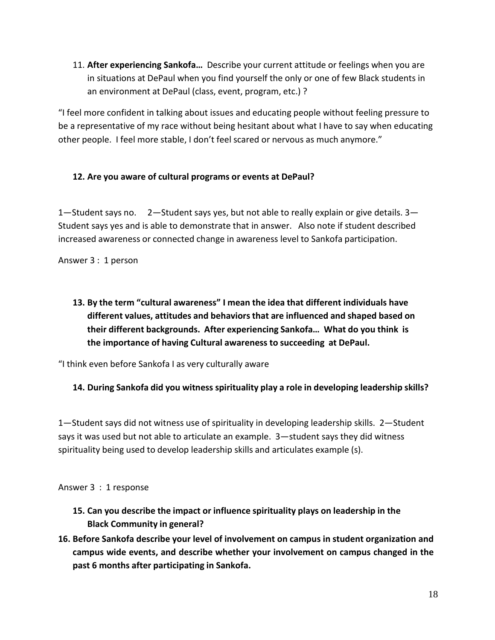11. **After experiencing Sankofa…** Describe your current attitude or feelings when you are in situations at DePaul when you find yourself the only or one of few Black students in an environment at DePaul (class, event, program, etc.) ?

"I feel more confident in talking about issues and educating people without feeling pressure to be a representative of my race without being hesitant about what I have to say when educating other people. I feel more stable, I don't feel scared or nervous as much anymore."

### **12. Are you aware of cultural programs or events at DePaul?**

1—Student says no. 2—Student says yes, but not able to really explain or give details. 3— Student says yes and is able to demonstrate that in answer. Also note if student described increased awareness or connected change in awareness level to Sankofa participation.

Answer 3 : 1 person

**13. By the term "cultural awareness" I mean the idea that different individuals have different values, attitudes and behaviors that are influenced and shaped based on their different backgrounds. After experiencing Sankofa… What do you think is the importance of having Cultural awareness to succeeding at DePaul.**

"I think even before Sankofa I as very culturally aware

# **14. During Sankofa did you witness spirituality play a role in developing leadership skills?**

1—Student says did not witness use of spirituality in developing leadership skills. 2—Student says it was used but not able to articulate an example. 3—student says they did witness spirituality being used to develop leadership skills and articulates example (s).

#### Answer 3 : 1 response

- **15. Can you describe the impact or influence spirituality plays on leadership in the Black Community in general?**
- **16. Before Sankofa describe your level of involvement on campus in student organization and campus wide events, and describe whether your involvement on campus changed in the past 6 months after participating in Sankofa.**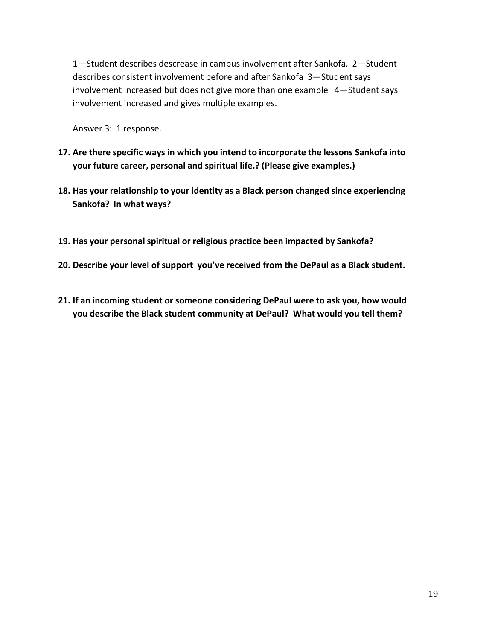1—Student describes descrease in campus involvement after Sankofa. 2—Student describes consistent involvement before and after Sankofa 3—Student says involvement increased but does not give more than one example 4—Student says involvement increased and gives multiple examples.

Answer 3: 1 response.

- **17. Are there specific ways in which you intend to incorporate the lessons Sankofa into your future career, personal and spiritual life.? (Please give examples.)**
- **18. Has your relationship to your identity as a Black person changed since experiencing Sankofa? In what ways?**
- **19. Has your personal spiritual or religious practice been impacted by Sankofa?**
- **20. Describe your level of support you've received from the DePaul as a Black student.**
- **21. If an incoming student or someone considering DePaul were to ask you, how would you describe the Black student community at DePaul? What would you tell them?**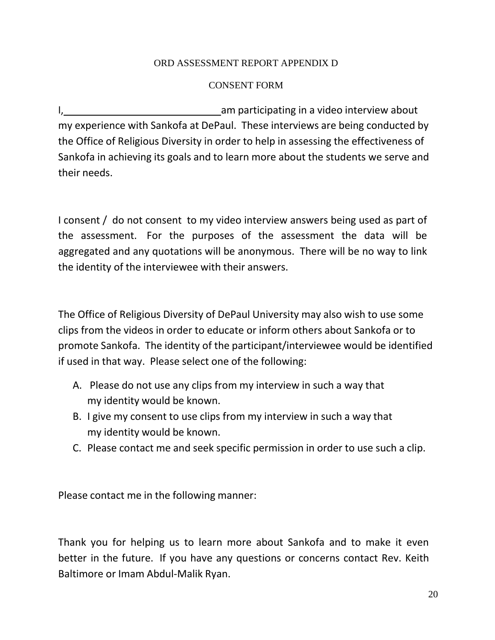# ORD ASSESSMENT REPORT APPENDIX D

# CONSENT FORM

I, am participating in a video interview about my experience with Sankofa at DePaul. These interviews are being conducted by the Office of Religious Diversity in order to help in assessing the effectiveness of Sankofa in achieving its goals and to learn more about the students we serve and their needs.

I consent / do not consent to my video interview answers being used as part of the assessment. For the purposes of the assessment the data will be aggregated and any quotations will be anonymous. There will be no way to link the identity of the interviewee with their answers.

The Office of Religious Diversity of DePaul University may also wish to use some clips from the videos in order to educate or inform others about Sankofa or to promote Sankofa. The identity of the participant/interviewee would be identified if used in that way. Please select one of the following:

- A. Please do not use any clips from my interview in such a way that my identity would be known.
- B. I give my consent to use clips from my interview in such a way that my identity would be known.
- C. Please contact me and seek specific permission in order to use such a clip.

Please contact me in the following manner:

Thank you for helping us to learn more about Sankofa and to make it even better in the future. If you have any questions or concerns contact Rev. Keith Baltimore or Imam Abdul‐Malik Ryan.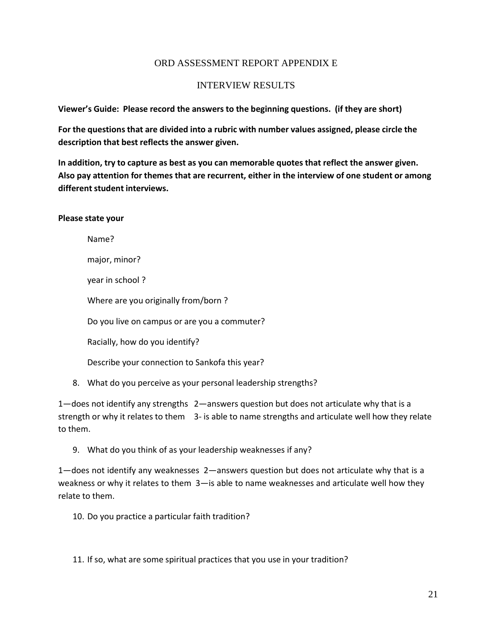#### ORD ASSESSMENT REPORT APPENDIX E

#### INTERVIEW RESULTS

**Viewer's Guide: Please record the answers to the beginning questions. (if they are short)**

**For the questions that are divided into a rubric with number values assigned, please circle the description that best reflects the answer given.**

**In addition, try to capture as best as you can memorable quotes that reflect the answer given. Also pay attention for themes that are recurrent, either in the interview of one student or among**   $different student$  **interviews.** 

**Please state your**

Name?

major, minor?

year in school ?

Where are you originally from/born ?

Do you live on campus or are you a commuter?

Racially, how do you identify?

Describe your connection to Sankofa this year?

8. What do you perceive as your personal leadership strengths?

1—does not identify any strengths 2—answers question but does not articulate why that is a strength or why it relates to them 3- is able to name strengths and articulate well how they relate to them.

9. What do you think of as your leadership weaknesses if any?

1—does not identify any weaknesses 2—answers question but does not articulate why that is a weakness or why it relates to them 3—is able to name weaknesses and articulate well how they relate to them.

10. Do you practice a particular faith tradition?

11. If so, what are some spiritual practices that you use in your tradition?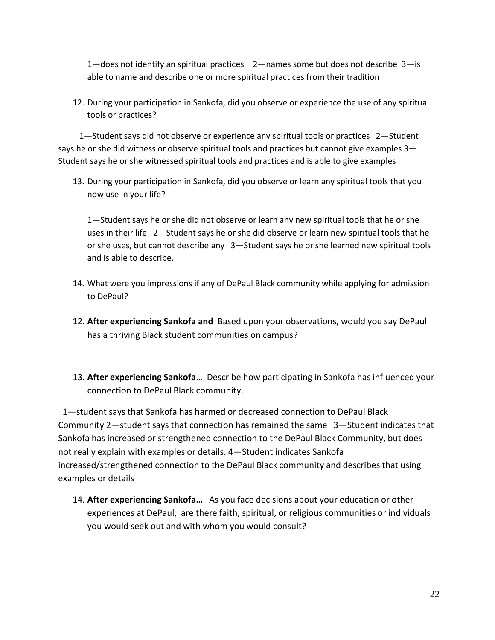1—does not identify an spiritual practices 2—names some but does not describe 3—is able to name and describe one or more spiritual practices from their tradition

12. During your participation in Sankofa, did you observe or experience the use of any spiritual tools or practices?

1—Student says did not observe or experience any spiritual tools or practices 2—Student says he or she did witness or observe spiritual tools and practices but cannot give examples 3— Student says he or she witnessed spiritual tools and practices and is able to give examples

13. During your participation in Sankofa, did you observe or learn any spiritual tools that you now use in your life?

1—Student says he or she did not observe or learn any new spiritual tools that he or she uses in their life 2—Student says he or she did observe or learn new spiritual tools that he or she uses, but cannot describe any 3—Student says he or she learned new spiritual tools and is able to describe.

- 14. What were you impressions if any of DePaul Black community while applying for admission to DePaul?
- 12. **After experiencing Sankofa and** Based upon your observations, would you say DePaul has a thriving Black student communities on campus?
- 13. **After experiencing Sankofa**… Describe how participating in Sankofa has influenced your connection to DePaul Black community.

1—student says that Sankofa has harmed or decreased connection to DePaul Black Community 2—student says that connection has remained the same 3—Student indicates that Sankofa has increased or strengthened connection to the DePaul Black Community, but does not really explain with examples or details. 4—Student indicates Sankofa increased/strengthened connection to the DePaul Black community and describes that using examples or details

14. **After experiencing Sankofa…** As you face decisions about your education or other experiences at DePaul, are there faith, spiritual, or religious communities or individuals you would seek out and with whom you would consult?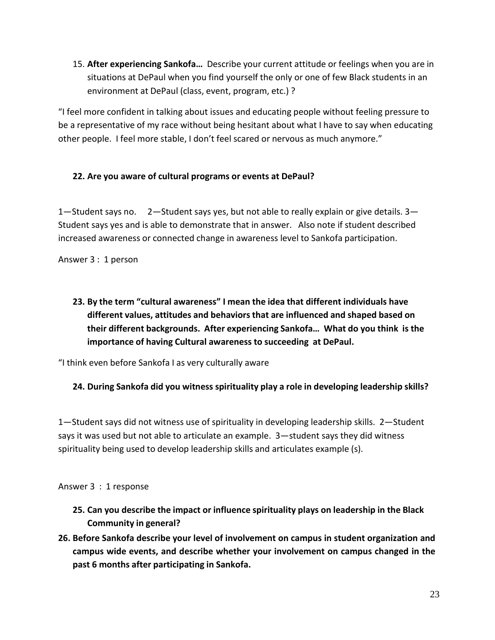15. **After experiencing Sankofa…** Describe your current attitude or feelings when you are in situations at DePaul when you find yourself the only or one of few Black students in an environment at DePaul (class, event, program, etc.) ?

"I feel more confident in talking about issues and educating people without feeling pressure to be a representative of my race without being hesitant about what I have to say when educating other people. I feel more stable, I don't feel scared or nervous as much anymore."

# **22. Are you aware of cultural programs or events at DePaul?**

1—Student says no. 2—Student says yes, but not able to really explain or give details. 3— Student says yes and is able to demonstrate that in answer. Also note if student described increased awareness or connected change in awareness level to Sankofa participation.

Answer 3 : 1 person

**23. By the term "cultural awareness" I mean the idea that different individuals have different values, attitudes and behaviors that are influenced and shaped based on their different backgrounds. After experiencing Sankofa… What do you think is the importance of having Cultural awareness to succeeding at DePaul.**

"I think even before Sankofa I as very culturally aware

# **24. During Sankofa did you witness spirituality play a role in developing leadership skills?**

1—Student says did not witness use of spirituality in developing leadership skills. 2—Student says it was used but not able to articulate an example. 3—student says they did witness spirituality being used to develop leadership skills and articulates example (s).

#### Answer 3 : 1 response

- **25. Can you describe the impact or influence spirituality plays on leadership in the Black Community in general?**
- **26. Before Sankofa describe your level of involvement on campus in student organization and campus wide events, and describe whether your involvement on campus changed in the past 6 months after participating in Sankofa.**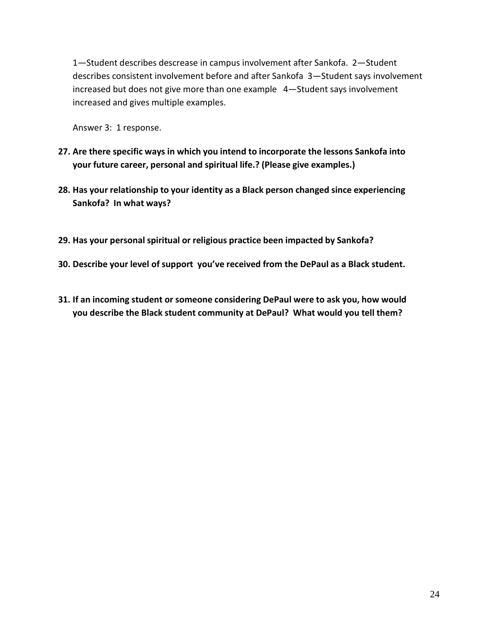1—Student describes descrease in campus involvement after Sankofa. 2—Student describes consistent involvement before and after Sankofa 3—Student says involvement increased but does not give more than one example 4—Student says involvement increased and gives multiple examples.

Answer 3: 1 response.

- **27. Are there specific ways in which you intend to incorporate the lessons Sankofa into your future career, personal and spiritual life.? (Please give examples.)**
- **28. Has your relationship to your identity as a Black person changed since experiencing Sankofa? In what ways?**
- **29. Has your personal spiritual or religious practice been impacted by Sankofa?**
- **30. Describe your level of support you've received from the DePaul as a Black student.**
- **31. If an incoming student or someone considering DePaul were to ask you, how would you describe the Black student community at DePaul? What would you tell them?**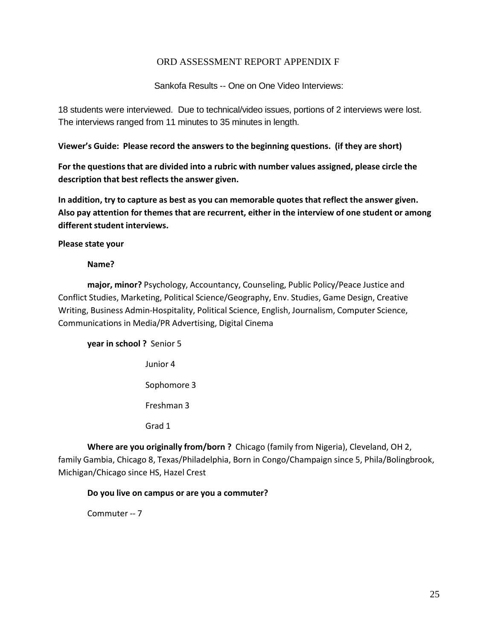#### ORD ASSESSMENT REPORT APPENDIX F

Sankofa Results -- One on One Video Interviews:

18 students were interviewed. Due to technical/video issues, portions of 2 interviews were lost. The interviews ranged from 11 minutes to 35 minutes in length.

**Viewer's Guide: Please record the answers to the beginning questions. (if they are short)**

**For the questions that are divided into a rubric with number values assigned, please circle the description that best reflects the answer given.**

**In addition, try to capture as best as you can memorable quotes that reflect the answer given. Also pay attention for themes that are recurrent, either in the interview of one student or among different student interviews.** 

**Please state your**

#### **Name?**

**major, minor?** Psychology, Accountancy, Counseling, Public Policy/Peace Justice and Conflict Studies, Marketing, Political Science/Geography, Env. Studies, Game Design, Creative Writing, Business Admin‐Hospitality, Political Science, English, Journalism, Computer Science, Communications in Media/PR Advertising, Digital Cinema

**year in school ?** Senior 5 Junior 4 Sophomore 3 Freshman 3 Grad 1

**Where are you originally from/born ?** Chicago (family from Nigeria), Cleveland, OH 2, family Gambia, Chicago 8, Texas/Philadelphia, Born in Congo/Champaign since 5, Phila/Bolingbrook, Michigan/Chicago since HS, Hazel Crest

#### **Do you live on campus or are you a commuter?**

Commuter ‐‐ 7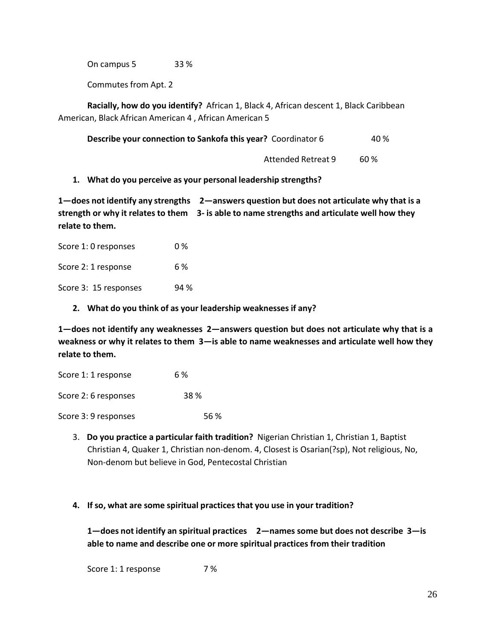On campus 5 33 %

Commutes from Apt. 2

**Racially, how do you identify?** African 1, Black 4, African descent 1, Black Caribbean American, Black African American 4 , African American 5

| Describe your connection to Sankofa this year? Coordinator 6 | 40 % |
|--------------------------------------------------------------|------|
|                                                              |      |

Attended Retreat 9 60 %

#### **1. What do you perceive as your personal leadership strengths?**

**1—does not identify any strengths 2—answers question but does not articulate why that is a strength or why it relates to them 3‐ is able to name strengths and articulate well how they relate to them.**

Score 1: 0 responses 0 % Score 2: 1 response 6 % Score 3: 15 responses 94 %

**2. What do you think of as your leadership weaknesses if any?**

**1—does not identify any weaknesses 2—answers question but does not articulate why that is a weakness or why it relates to them 3—is able to name weaknesses and articulate well how they relate to them.**

| Score 1: 1 response  | 6 %  |
|----------------------|------|
| Score 2: 6 responses | 38 % |
| Score 3: 9 responses | 56 % |

3. **Do you practice a particular faith tradition?** Nigerian Christian 1, Christian 1, Baptist Christian 4, Quaker 1, Christian non‐denom. 4, Closest is Osarian(?sp), Not religious, No, Non‐denom but believe in God, Pentecostal Christian

#### **4. If so, what are some spiritual practices that you use in your tradition?**

**1—does not identify an spiritual practices 2—names some but does not describe 3—is able to name and describe one or more spiritual practices from their tradition**

Score 1: 1 response 7%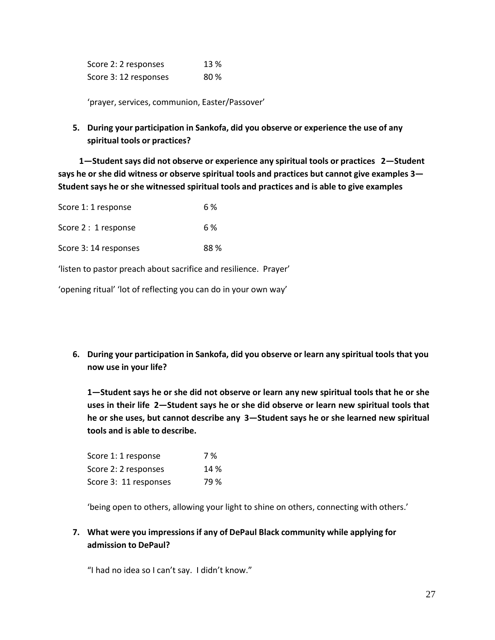| Score 2: 2 responses  | 13 % |
|-----------------------|------|
| Score 3: 12 responses | 80 % |

'prayer, services, communion, Easter/Passover'

**5. During your participation in Sankofa, did you observe or experience the use of any spiritual tools or practices?**

**1—Student says did not observe or experience any spiritual tools or practices 2—Student says he or she did witness or observe spiritual tools and practices but cannot give examples 3— Student says he or she witnessed spiritual tools and practices and is able to give examples**

| Score 1: 1 response   | 6 %  |
|-----------------------|------|
| Score 2 : 1 response  | 6 %  |
| Score 3: 14 responses | 88 % |

'listen to pastor preach about sacrifice and resilience. Prayer'

'opening ritual' 'lot of reflecting you can do in your own way'

**6. During your participation in Sankofa, did you observe or learn any spiritual tools that you now use in your life?**

**1—Student says he or she did not observe or learn any new spiritual tools that he or she uses in their life 2—Student says he or she did observe or learn new spiritual tools that he or she uses, but cannot describe any 3—Student says he or she learned new spiritual tools and is able to describe.**

| Score 1: 1 response   | 7 %  |
|-----------------------|------|
| Score 2: 2 responses  | 14 % |
| Score 3: 11 responses | 79 % |

'being open to others, allowing your light to shine on others, connecting with others.'

### **7. What were you impressions if any of DePaul Black community while applying for admission to DePaul?**

"I had no idea so I can't say. I didn't know."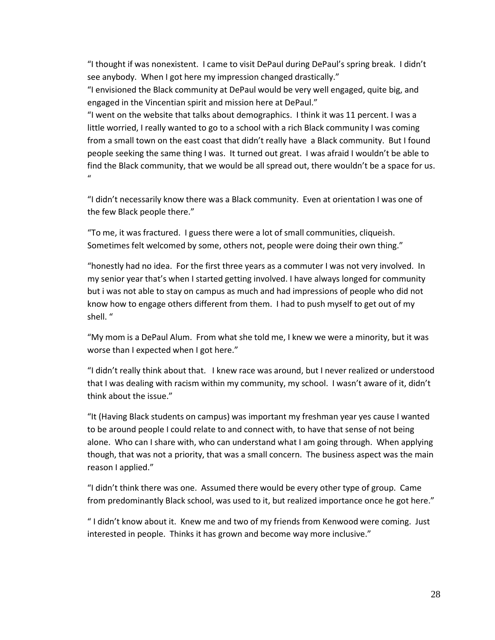"I thought if was nonexistent. I came to visit DePaul during DePaul's spring break. I didn't see anybody. When I got here my impression changed drastically."

"I envisioned the Black community at DePaul would be very well engaged, quite big, and engaged in the Vincentian spirit and mission here at DePaul."

"I went on the website that talks about demographics. I think it was 11 percent. I was a little worried, I really wanted to go to a school with a rich Black community I was coming from a small town on the east coast that didn't really have a Black community. But I found people seeking the same thing I was. It turned out great. I was afraid I wouldn't be able to find the Black community, that we would be all spread out, there wouldn't be a space for us.  $\mathbf{u}$ 

"I didn't necessarily know there was a Black community. Even at orientation I was one of the few Black people there."

"To me, it was fractured. I guess there were a lot of small communities, cliqueish. Sometimes felt welcomed by some, others not, people were doing their own thing."

"honestly had no idea. For the first three years as a commuter I was not very involved. In my senior year that's when I started getting involved. I have always longed for community but i was not able to stay on campus as much and had impressions of people who did not know how to engage others different from them. I had to push myself to get out of my shell. "

"My mom is a DePaul Alum. From what she told me, I knew we were a minority, but it was worse than I expected when I got here."

"I didn't really think about that. I knew race was around, but I never realized or understood that I was dealing with racism within my community, my school. I wasn't aware of it, didn't think about the issue."

"It (Having Black students on campus) was important my freshman year yes cause I wanted to be around people I could relate to and connect with, to have that sense of not being alone. Who can I share with, who can understand what I am going through. When applying though, that was not a priority, that was a small concern. The business aspect was the main reason I applied."

"I didn't think there was one. Assumed there would be every other type of group. Came from predominantly Black school, was used to it, but realized importance once he got here."

" I didn't know about it. Knew me and two of my friends from Kenwood were coming. Just interested in people. Thinks it has grown and become way more inclusive."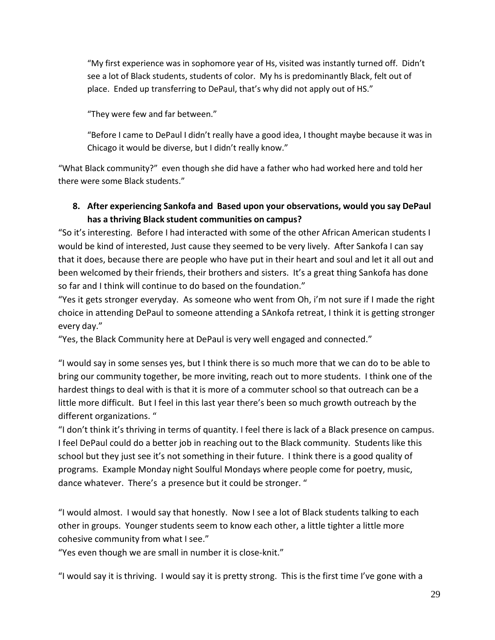"My first experience was in sophomore year of Hs, visited was instantly turned off. Didn't see a lot of Black students, students of color. My hs is predominantly Black, felt out of place. Ended up transferring to DePaul, that's why did not apply out of HS."

"They were few and far between."

"Before I came to DePaul I didn't really have a good idea, I thought maybe because it was in Chicago it would be diverse, but I didn't really know."

"What Black community?" even though she did have a father who had worked here and told her there were some Black students."

# **8. After experiencing Sankofa and Based upon your observations, would you say DePaul has a thriving Black student communities on campus?**

"So it's interesting. Before I had interacted with some of the other African American students I would be kind of interested, Just cause they seemed to be very lively. After Sankofa I can say that it does, because there are people who have put in their heart and soul and let it all out and been welcomed by their friends, their brothers and sisters. It's a great thing Sankofa has done so far and I think will continue to do based on the foundation."

"Yes it gets stronger everyday. As someone who went from Oh, i'm not sure if I made the right choice in attending DePaul to someone attending a SAnkofa retreat, I think it is getting stronger every day."

"Yes, the Black Community here at DePaul is very well engaged and connected."

"I would say in some senses yes, but I think there is so much more that we can do to be able to bring our community together, be more inviting, reach out to more students. I think one of the hardest things to deal with is that it is more of a commuter school so that outreach can be a little more difficult. But I feel in this last year there's been so much growth outreach by the different organizations. "

"I don't think it's thriving in terms of quantity. I feel there is lack of a Black presence on campus. I feel DePaul could do a better job in reaching out to the Black community. Students like this school but they just see it's not something in their future. I think there is a good quality of programs. Example Monday night Soulful Mondays where people come for poetry, music, dance whatever. There's a presence but it could be stronger. "

"I would almost. I would say that honestly. Now I see a lot of Black students talking to each other in groups. Younger students seem to know each other, a little tighter a little more cohesive community from what I see."

"Yes even though we are small in number it is close‐knit."

"I would say it is thriving. I would say it is pretty strong. This is the first time I've gone with a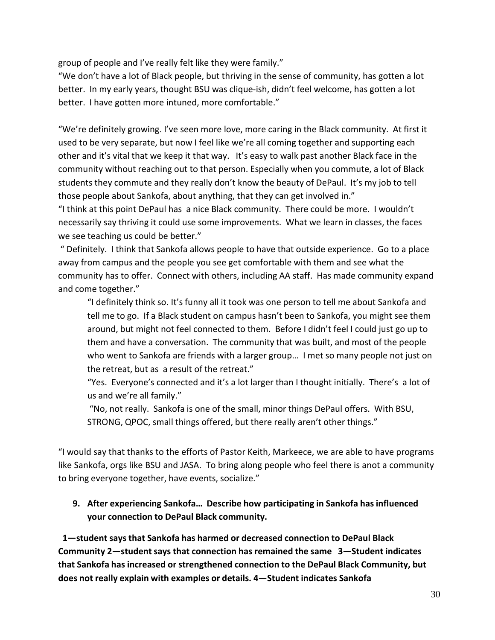group of people and I've really felt like they were family."

"We don't have a lot of Black people, but thriving in the sense of community, has gotten a lot better. In my early years, thought BSU was clique-ish, didn't feel welcome, has gotten a lot better. I have gotten more intuned, more comfortable."

"We're definitely growing. I've seen more love, more caring in the Black community. At first it used to be very separate, but now I feel like we're all coming together and supporting each other and it's vital that we keep it that way. It's easy to walk past another Black face in the community without reaching out to that person. Especially when you commute, a lot of Black students they commute and they really don't know the beauty of DePaul. It's my job to tell those people about Sankofa, about anything, that they can get involved in."

"I think at this point DePaul has a nice Black community. There could be more. I wouldn't necessarily say thriving it could use some improvements. What we learn in classes, the faces we see teaching us could be better."

" Definitely. I think that Sankofa allows people to have that outside experience. Go to a place away from campus and the people you see get comfortable with them and see what the community has to offer. Connect with others, including AA staff. Has made community expand and come together."

"I definitely think so. It's funny all it took was one person to tell me about Sankofa and tell me to go. If a Black student on campus hasn't been to Sankofa, you might see them around, but might not feel connected to them. Before I didn't feel I could just go up to them and have a conversation. The community that was built, and most of the people who went to Sankofa are friends with a larger group… I met so many people not just on the retreat, but as a result of the retreat."

"Yes. Everyone's connected and it's a lot larger than I thought initially. There's a lot of us and we're all family."

"No, not really. Sankofa is one of the small, minor things DePaul offers. With BSU, STRONG, QPOC, small things offered, but there really aren't other things."

"I would say that thanks to the efforts of Pastor Keith, Markeece, we are able to have programs like Sankofa, orgs like BSU and JASA. To bring along people who feel there is anot a community to bring everyone together, have events, socialize."

# **9. After experiencing Sankofa… Describe how participating in Sankofa has influenced your connection to DePaul Black community.**

**1—student says that Sankofa has harmed or decreased connection to DePaul Black Community** 2—student says that connection has remained the same 3—Student indicates **that Sankofa has increased or strengthened connection to the DePaul Black Community, but does not really explain with examples or details. 4—Student indicates Sankofa**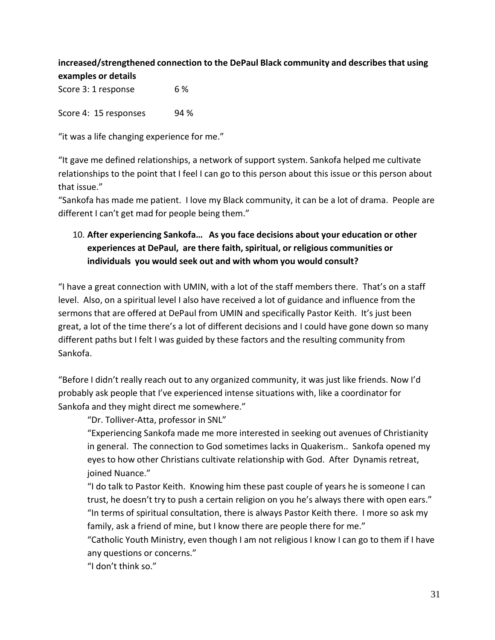# **increased/strengthened connection to the DePaul Black community and describes that using examples or details**

Score 3: 1 response 6% Score 4: 15 responses 94 %

"it was a life changing experience for me."

"It gave me defined relationships, a network of support system. Sankofa helped me cultivate relationships to the point that I feel I can go to this person about this issue or this person about that issue."

"Sankofa has made me patient. I love my Black community, it can be a lot of drama. People are different I can't get mad for people being them."

# 10. **After experiencing Sankofa… As you face decisions about your education or other experiences at DePaul, are there faith, spiritual, or religious communities or individuals you would seek out and with whom you would consult?**

"I have a great connection with UMIN, with a lot of the staff members there. That's on a staff level. Also, on a spiritual level I also have received a lot of guidance and influence from the sermons that are offered at DePaul from UMIN and specifically Pastor Keith. It's just been great, a lot of the time there's a lot of different decisions and I could have gone down so many different paths but I felt I was guided by these factors and the resulting community from Sankofa.

"Before I didn't really reach out to any organized community, it was just like friends. Now I'd probably ask people that I've experienced intense situations with, like a coordinator for Sankofa and they might direct me somewhere."

"Dr. Tolliver‐Atta, professor in SNL"

"Experiencing Sankofa made me more interested in seeking out avenues of Christianity in general. The connection to God sometimes lacks in Quakerism.. Sankofa opened my eyes to how other Christians cultivate relationship with God. After Dynamis retreat, ioined Nuance."

"I do talk to Pastor Keith. Knowing him these past couple of years he is someone I can trust, he doesn't try to push a certain religion on you he's always there with open ears." "In terms of spiritual consultation, there is always Pastor Keith there. I more so ask my family, ask a friend of mine, but I know there are people there for me."

"Catholic Youth Ministry, even though I am not religious I know I can go to them if I have any questions or concerns."

"I don't think so."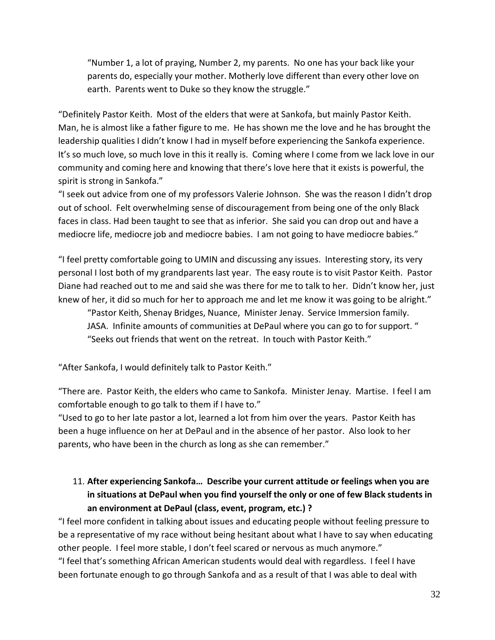"Number 1, a lot of praying, Number 2, my parents. No one has your back like your parents do, especially your mother. Motherly love different than every other love on earth. Parents went to Duke so they know the struggle."

"Definitely Pastor Keith. Most of the elders that were at Sankofa, but mainly Pastor Keith. Man, he is almost like a father figure to me. He has shown me the love and he has brought the leadership qualities I didn't know I had in myself before experiencing the Sankofa experience. It's so much love, so much love in this it really is. Coming where I come from we lack love in our community and coming here and knowing that there's love here that it exists is powerful, the spirit is strong in Sankofa."

"I seek out advice from one of my professors Valerie Johnson. She was the reason I didn't drop out of school. Felt overwhelming sense of discouragement from being one of the only Black faces in class. Had been taught to see that as inferior. She said you can drop out and have a mediocre life, mediocre job and mediocre babies. I am not going to have mediocre babies."

"I feel pretty comfortable going to UMIN and discussing any issues. Interesting story, its very personal I lost both of my grandparents last year. The easy route is to visit Pastor Keith. Pastor Diane had reached out to me and said she was there for me to talk to her. Didn't know her, just knew of her, it did so much for her to approach me and let me know it was going to be alright."

"Pastor Keith, Shenay Bridges, Nuance, Minister Jenay. Service Immersion family. JASA. Infinite amounts of communities at DePaul where you can go to for support. " "Seeks out friends that went on the retreat. In touch with Pastor Keith."

"After Sankofa, I would definitely talk to Pastor Keith."

"There are. Pastor Keith, the elders who came to Sankofa. Minister Jenay. Martise. I feel I am comfortable enough to go talk to them if I have to."

"Used to go to her late pastor a lot, learned a lot from him over the years. Pastor Keith has been a huge influence on her at DePaul and in the absence of her pastor. Also look to her parents, who have been in the church as long as she can remember."

# 11. **After experiencing Sankofa… Describe your current attitude or feelings when you are in situations at DePaul when you find yourself the only or one of few Black students in an environment at DePaul (class, event, program, etc.) ?**

"I feel more confident in talking about issues and educating people without feeling pressure to be a representative of my race without being hesitant about what I have to say when educating other people. I feel more stable, I don't feel scared or nervous as much anymore."

"I feel that's something African American students would deal with regardless. I feel I have been fortunate enough to go through Sankofa and as a result of that I was able to deal with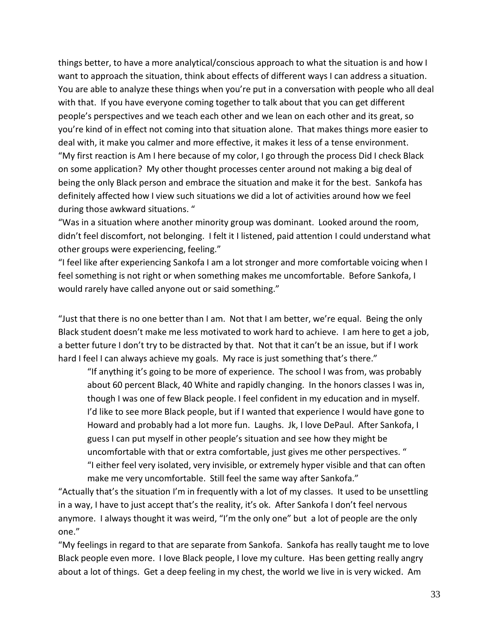things better, to have a more analytical/conscious approach to what the situation is and how I want to approach the situation, think about effects of different ways I can address a situation. You are able to analyze these things when you're put in a conversation with people who all deal with that. If you have everyone coming together to talk about that you can get different people's perspectives and we teach each other and we lean on each other and its great, so you're kind of in effect not coming into that situation alone. That makes things more easier to deal with, it make you calmer and more effective, it makes it less of a tense environment. "My first reaction is Am I here because of my color, I go through the process Did I check Black on some application? My other thought processes center around not making a big deal of being the only Black person and embrace the situation and make it for the best. Sankofa has definitely affected how I view such situations we did a lot of activities around how we feel during those awkward situations. "

"Was in a situation where another minority group was dominant. Looked around the room, didn't feel discomfort, not belonging. I felt it I listened, paid attention I could understand what other groups were experiencing, feeling."

"I feel like after experiencing Sankofa I am a lot stronger and more comfortable voicing when I feel something is not right or when something makes me uncomfortable. Before Sankofa, I would rarely have called anyone out or said something."

"Just that there is no one better than I am. Not that I am better, we're equal. Being the only Black student doesn't make me less motivated to work hard to achieve. I am here to get a job, a better future I don't try to be distracted by that. Not that it can't be an issue, but if I work hard I feel I can always achieve my goals. My race is just something that's there."

"If anything it's going to be more of experience. The school I was from, was probably about 60 percent Black, 40 White and rapidly changing. In the honors classes I was in, though I was one of few Black people. I feel confident in my education and in myself. I'd like to see more Black people, but if I wanted that experience I would have gone to Howard and probably had a lot more fun. Laughs. Jk, I love DePaul. After Sankofa, I guess I can put myself in other people's situation and see how they might be uncomfortable with that or extra comfortable, just gives me other perspectives. " "I either feel very isolated, very invisible, or extremely hyper visible and that can often make me very uncomfortable. Still feel the same way after Sankofa."

"Actually that's the situation I'm in frequently with a lot of my classes. It used to be unsettling in a way, I have to just accept that's the reality, it's ok. After Sankofa I don't feel nervous anymore. I always thought it was weird, "I'm the only one" but a lot of people are the only one."

"My feelings in regard to that are separate from Sankofa. Sankofa has really taught me to love Black people even more. I love Black people, I love my culture. Has been getting really angry about a lot of things. Get a deep feeling in my chest, the world we live in is very wicked. Am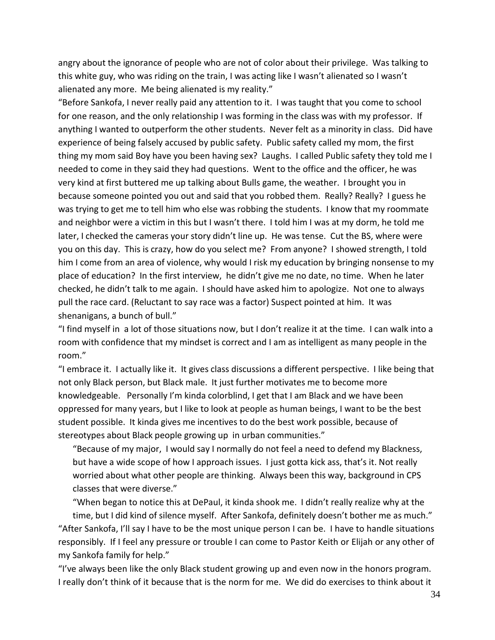angry about the ignorance of people who are not of color about their privilege. Was talking to this white guy, who was riding on the train, I was acting like I wasn't alienated so I wasn't alienated any more. Me being alienated is my reality."

"Before Sankofa, I never really paid any attention to it. I was taught that you come to school for one reason, and the only relationship I was forming in the class was with my professor. If anything I wanted to outperform the other students. Never felt as a minority in class. Did have experience of being falsely accused by public safety. Public safety called my mom, the first thing my mom said Boy have you been having sex? Laughs. I called Public safety they told me I needed to come in they said they had questions. Went to the office and the officer, he was very kind at first buttered me up talking about Bulls game, the weather. I brought you in because someone pointed you out and said that you robbed them. Really? Really? I guess he was trying to get me to tell him who else was robbing the students. I know that my roommate and neighbor were a victim in this but I wasn't there. I told him I was at my dorm, he told me later, I checked the cameras your story didn't line up. He was tense. Cut the BS, where were you on this day. This is crazy, how do you select me? From anyone? I showed strength, I told him I come from an area of violence, why would I risk my education by bringing nonsense to my place of education? In the first interview, he didn't give me no date, no time. When he later checked, he didn't talk to me again. I should have asked him to apologize. Not one to always pull the race card. (Reluctant to say race was a factor) Suspect pointed at him. It was shenanigans, a bunch of bull."

"I find myself in a lot of those situations now, but I don't realize it at the time. I can walk into a room with confidence that my mindset is correct and I am as intelligent as many people in the room."

"I embrace it. I actually like it. It gives class discussions a different perspective. I like being that not only Black person, but Black male. It just further motivates me to become more knowledgeable. Personally I'm kinda colorblind, I get that I am Black and we have been oppressed for many years, but I like to look at people as human beings, I want to be the best student possible. It kinda gives me incentives to do the best work possible, because of stereotypes about Black people growing up in urban communities."

"Because of my major, I would say I normally do not feel a need to defend my Blackness, but have a wide scope of how I approach issues. I just gotta kick ass, that's it. Not really worried about what other people are thinking. Always been this way, background in CPS classes that were diverse."

"When began to notice this at DePaul, it kinda shook me. I didn't really realize why at the time, but I did kind of silence myself. After Sankofa, definitely doesn't bother me as much." "After Sankofa, I'll say I have to be the most unique person I can be. I have to handle situations responsibly. If I feel any pressure or trouble I can come to Pastor Keith or Elijah or any other of my Sankofa family for help."

"I've always been like the only Black student growing up and even now in the honors program. I really don't think of it because that is the norm for me. We did do exercises to think about it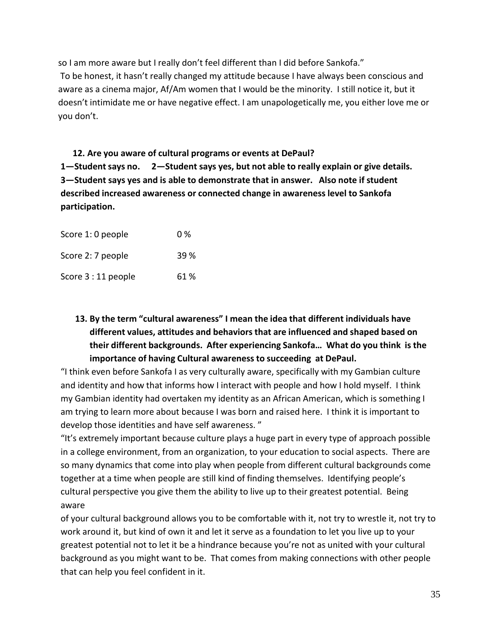so I am more aware but I really don't feel different than I did before Sankofa." To be honest, it hasn't really changed my attitude because I have always been conscious and aware as a cinema major, Af/Am women that I would be the minority. I still notice it, but it doesn't intimidate me or have negative effect. I am unapologetically me, you either love me or you don't.

# **12. Are you aware of cultural programs or events at DePaul?**

**1—Studentsays no. 2—Student says yes, but not able to really explain or give details. 3—Student says yes and is able to demonstrate that in answer. Also note if student described increased awareness or connected change in awareness level to Sankofa participation.**

| Score 1: 0 people   | 0 %  |
|---------------------|------|
| Score 2: 7 people   | 39 % |
| Score 3 : 11 people | 61 % |

# **13. By the term "cultural awareness" I mean the idea that different individuals have different values, attitudes and behaviors that are influenced and shaped based on their different backgrounds. After experiencing Sankofa… What do you think is the importance of having Cultural awareness to succeeding at DePaul.**

"I think even before Sankofa I as very culturally aware, specifically with my Gambian culture and identity and how that informs how I interact with people and how I hold myself. I think my Gambian identity had overtaken my identity as an African American, which is something I am trying to learn more about because I was born and raised here. I think it is important to develop those identities and have self awareness. "

"It's extremely important because culture plays a huge part in every type of approach possible in a college environment, from an organization, to your education to social aspects. There are so many dynamics that come into play when people from different cultural backgrounds come together at a time when people are still kind of finding themselves. Identifying people's cultural perspective you give them the ability to live up to their greatest potential. Being aware

of your cultural background allows you to be comfortable with it, not try to wrestle it, not try to work around it, but kind of own it and let it serve as a foundation to let you live up to your greatest potential not to let it be a hindrance because you're not as united with your cultural background as you might want to be. That comes from making connections with other people that can help you feel confident in it.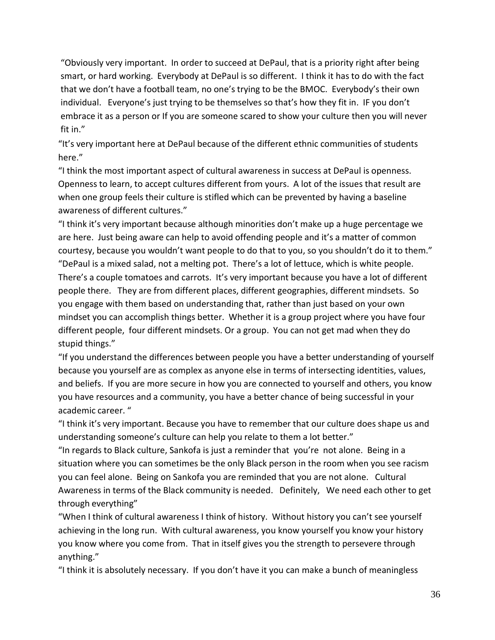"Obviously very important. In order to succeed at DePaul, that is a priority right after being smart, or hard working. Everybody at DePaul is so different. I think it has to do with the fact that we don't have a football team, no one's trying to be the BMOC. Everybody's their own individual. Everyone's just trying to be themselves so that's how they fit in. IF you don't embrace it as a person or If you are someone scared to show your culture then you will never fit in."

"It's very important here at DePaul because of the different ethnic communities of students here."

"I think the most important aspect of cultural awareness in success at DePaul is openness. Openness to learn, to accept cultures different from yours. A lot of the issues that result are when one group feels their culture is stifled which can be prevented by having a baseline awareness of different cultures."

"I think it's very important because although minorities don't make up a huge percentage we are here. Just being aware can help to avoid offending people and it's a matter of common courtesy, because you wouldn't want people to do that to you, so you shouldn't do it to them." "DePaul is a mixed salad, not a melting pot. There's a lot of lettuce, which is white people. There's a couple tomatoes and carrots. It's very important because you have a lot of different people there. They are from different places, different geographies, different mindsets. So you engage with them based on understanding that, rather than just based on your own mindset you can accomplish things better. Whether it is a group project where you have four different people, four different mindsets. Or a group. You can not get mad when they do stupid things."

"If you understand the differences between people you have a better understanding of yourself because you yourself are as complex as anyone else in terms of intersecting identities, values, and beliefs. If you are more secure in how you are connected to yourself and others, you know you have resources and a community, you have a better chance of being successful in your academic career. "

"I think it's very important. Because you have to remember that our culture does shape us and understanding someone's culture can help you relate to them a lot better."

"In regards to Black culture, Sankofa is just a reminder that you're not alone. Being in a situation where you can sometimes be the only Black person in the room when you see racism you can feel alone. Being on Sankofa you are reminded that you are not alone. Cultural Awareness in terms of the Black community is needed. Definitely, We need each other to get through everything"

"When I think of cultural awareness I think of history. Without history you can't see yourself achieving in the long run. With cultural awareness, you know yourself you know your history you know where you come from. That in itself gives you the strength to persevere through anything."

"I think it is absolutely necessary. If you don't have it you can make a bunch of meaningless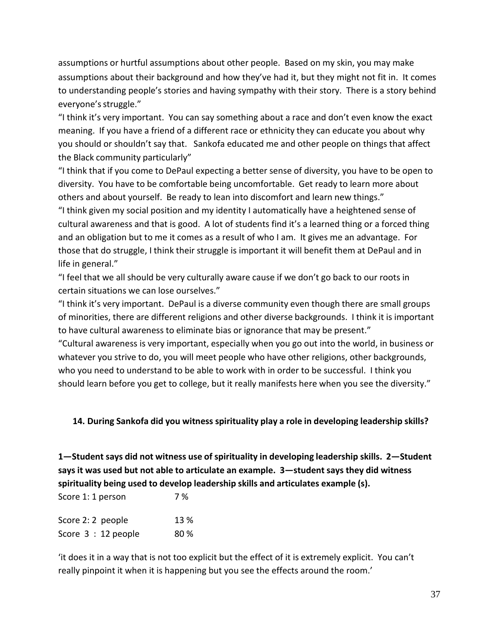assumptions or hurtful assumptions about other people. Based on my skin, you may make assumptions about their background and how they've had it, but they might not fit in. It comes to understanding people's stories and having sympathy with their story. There is a story behind everyone's struggle."

"I think it's very important. You can say something about a race and don't even know the exact meaning. If you have a friend of a different race or ethnicity they can educate you about why you should or shouldn't say that. Sankofa educated me and other people on things that affect the Black community particularly"

"I think that if you come to DePaul expecting a better sense of diversity, you have to be open to diversity. You have to be comfortable being uncomfortable. Get ready to learn more about others and about yourself. Be ready to lean into discomfort and learn new things." "I think given my social position and my identity I automatically have a heightened sense of cultural awareness and that is good. A lot of students find it's a learned thing or a forced thing and an obligation but to me it comes as a result of who I am. It gives me an advantage. For those that do struggle, I think their struggle is important it will benefit them at DePaul and in life in general."

"I feel that we all should be very culturally aware cause if we don't go back to our roots in certain situations we can lose ourselves."

"I think it's very important. DePaul is a diverse community even though there are small groups of minorities, there are different religions and other diverse backgrounds. I think it is important to have cultural awareness to eliminate bias or ignorance that may be present."

"Cultural awareness is very important, especially when you go out into the world, in business or whatever you strive to do, you will meet people who have other religions, other backgrounds, who you need to understand to be able to work with in order to be successful. I think you should learn before you get to college, but it really manifests here when you see the diversity."

#### **14. During Sankofa did you witness spirituality play a role in developing leadership skills?**

**1—Student says did not witness use of spirituality in developing leadership skills. 2—Student says it was used but not able to articulate an example. 3—student says they did witness spirituality being used to develop leadership skills and articulates example (s).**

Score 1: 1 person 7% Score 2: 2 people 13 % Score  $3:12$  people  $80\%$ 

'it does it in a way that is not too explicit but the effect of it is extremely explicit. You can't really pinpoint it when it is happening but you see the effects around the room.'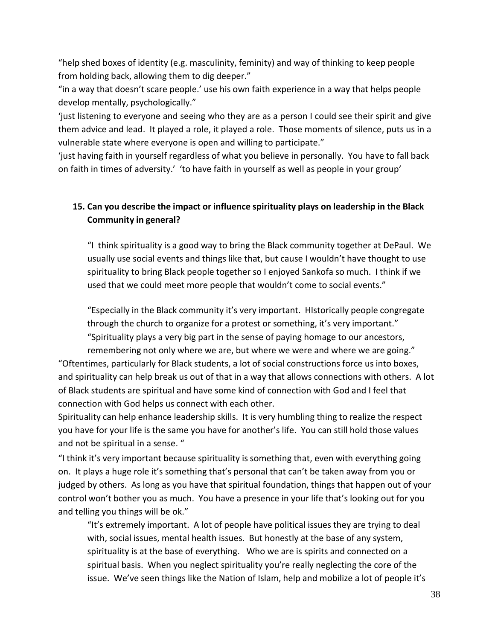"help shed boxes of identity (e.g. masculinity, feminity) and way of thinking to keep people from holding back, allowing them to dig deeper."

"in a way that doesn't scare people.' use his own faith experience in a way that helps people develop mentally, psychologically."

'just listening to everyone and seeing who they are as a person I could see their spirit and give them advice and lead. It played a role, it played a role. Those moments of silence, puts us in a vulnerable state where everyone is open and willing to participate."

'just having faith in yourself regardless of what you believe in personally. You have to fall back on faith in times of adversity.' 'to have faith in yourself as well as people in your group'

# **15. Can you describe the impact or influence spirituality plays on leadership in the Black Community in general?**

"I think spirituality is a good way to bring the Black community together at DePaul. We usually use social events and things like that, but cause I wouldn't have thought to use spirituality to bring Black people together so I enjoyed Sankofa so much. I think if we used that we could meet more people that wouldn't come to social events."

"Especially in the Black community it's very important. HIstorically people congregate through the church to organize for a protest or something, it's very important." "Spirituality plays a very big part in the sense of paying homage to our ancestors, remembering not only where we are, but where we were and where we are going."

"Oftentimes, particularly for Black students, a lot of social constructions force us into boxes, and spirituality can help break us out of that in a way that allows connections with others. A lot of Black students are spiritual and have some kind of connection with God and I feel that connection with God helps us connect with each other.

Spirituality can help enhance leadership skills. It is very humbling thing to realize the respect you have for your life is the same you have for another's life. You can still hold those values and not be spiritual in a sense. "

"I think it's very important because spirituality is something that, even with everything going on. It plays a huge role it's something that's personal that can't be taken away from you or judged by others. As long as you have that spiritual foundation, things that happen out of your control won't bother you as much. You have a presence in your life that's looking out for you and telling you things will be ok."

"It's extremely important. A lot of people have political issues they are trying to deal with, social issues, mental health issues. But honestly at the base of any system, spirituality is at the base of everything. Who we are is spirits and connected on a spiritual basis. When you neglect spirituality you're really neglecting the core of the issue. We've seen things like the Nation of Islam, help and mobilize a lot of people it's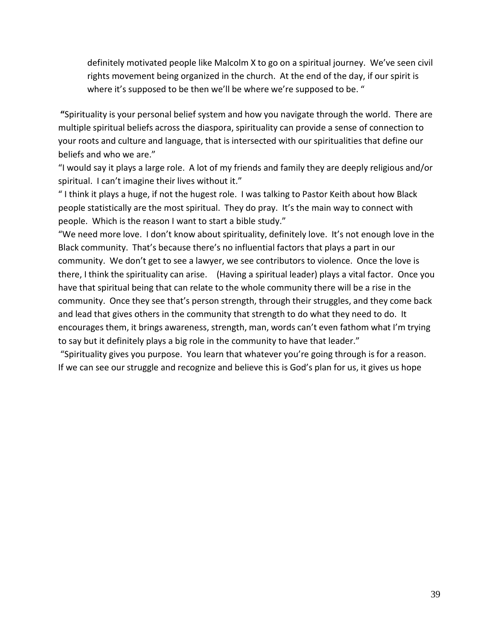definitely motivated people like Malcolm X to go on a spiritual journey. We've seen civil rights movement being organized in the church. At the end of the day, if our spirit is where it's supposed to be then we'll be where we're supposed to be. "

**"**Spirituality is your personal belief system and how you navigate through the world. There are multiple spiritual beliefs across the diaspora, spirituality can provide a sense of connection to your roots and culture and language, that is intersected with our spiritualities that define our beliefs and who we are."

"I would say it plays a large role. A lot of my friends and family they are deeply religious and/or spiritual. I can't imagine their lives without it."

" I think it plays a huge, if not the hugest role. I was talking to Pastor Keith about how Black people statistically are the most spiritual. They do pray. It's the main way to connect with people. Which is the reason I want to start a bible study."

"We need more love. I don't know about spirituality, definitely love. It's not enough love in the Black community. That's because there's no influential factors that plays a part in our community. We don't get to see a lawyer, we see contributors to violence. Once the love is there, I think the spirituality can arise. (Having a spiritual leader) plays a vital factor. Once you have that spiritual being that can relate to the whole community there will be a rise in the community. Once they see that's person strength, through their struggles, and they come back and lead that gives others in the community that strength to do what they need to do. It encourages them, it brings awareness, strength, man, words can't even fathom what I'm trying to say but it definitely plays a big role in the community to have that leader."

"Spirituality gives you purpose. You learn that whatever you're going through is for a reason. If we can see our struggle and recognize and believe this is God's plan for us, it gives us hope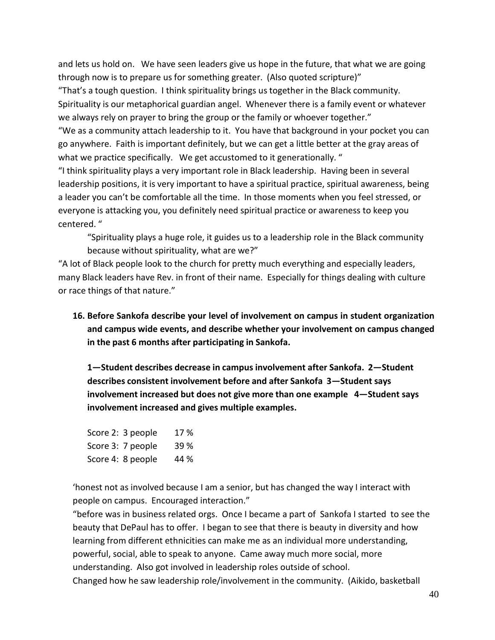and lets us hold on. We have seen leaders give us hope in the future, that what we are going through now is to prepare us for something greater. (Also quoted scripture)"

"That's a tough question. I think spirituality brings us together in the Black community. Spirituality is our metaphorical guardian angel. Whenever there is a family event or whatever we always rely on prayer to bring the group or the family or whoever together."

"We as a community attach leadership to it. You have that background in your pocket you can go anywhere. Faith is important definitely, but we can get a little better at the gray areas of what we practice specifically. We get accustomed to it generationally. "

"I think spirituality plays a very important role in Black leadership. Having been in several leadership positions, it is very important to have a spiritual practice, spiritual awareness, being a leader you can't be comfortable all the time. In those moments when you feel stressed, or everyone is attacking you, you definitely need spiritual practice or awareness to keep you centered. "

"Spirituality plays a huge role, it guides us to a leadership role in the Black community because without spirituality, what are we?"

"A lot of Black people look to the church for pretty much everything and especially leaders, many Black leaders have Rev. in front of their name. Especially for things dealing with culture or race things of that nature."

**16. Before Sankofa describe your level of involvement on campus in student organization and campus wide events, and describe whether your involvement on campus changed in the past 6 months after participating in Sankofa.**

**1—Student describes decrease in campus involvement after Sankofa. 2—Student describes consistent involvement before and after Sankofa 3—Student says involvement increased but does not give more than one example 4—Student says involvement increased and gives multiple examples.**

Score 2: 3 people 17 % Score 3: 7 people 39 % Score 4: 8 people 44 %

'honest not as involved because I am a senior, but has changed the way I interact with people on campus. Encouraged interaction."

"before was in business related orgs. Once I became a part of Sankofa I started to see the beauty that DePaul has to offer. I began to see that there is beauty in diversity and how learning from different ethnicities can make me as an individual more understanding, powerful, social, able to speak to anyone. Came away much more social, more understanding. Also got involved in leadership roles outside of school. Changed how he saw leadership role/involvement in the community. (Aikido, basketball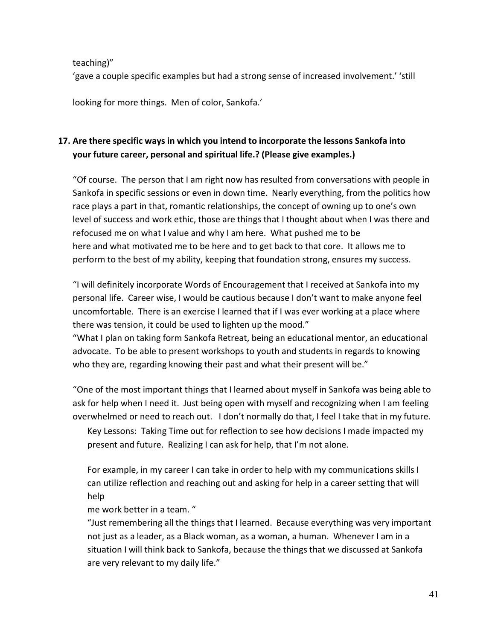teaching)"

'gave a couple specific examples but had a strong sense of increased involvement.' 'still

looking for more things. Men of color, Sankofa.'

# **17. Are there specific ways in which you intend to incorporate the lessons Sankofa into your future career, personal and spiritual life.? (Please give examples.)**

"Of course. The person that I am right now has resulted from conversations with people in Sankofa in specific sessions or even in down time. Nearly everything, from the politics how race plays a part in that, romantic relationships, the concept of owning up to one's own level of success and work ethic, those are things that I thought about when I was there and refocused me on what I value and why I am here. What pushed me to be here and what motivated me to be here and to get back to that core. It allows me to perform to the best of my ability, keeping that foundation strong, ensures my success.

"I will definitely incorporate Words of Encouragement that I received at Sankofa into my personal life. Career wise, I would be cautious because I don't want to make anyone feel uncomfortable. There is an exercise I learned that if I was ever working at a place where there was tension, it could be used to lighten up the mood."

"What I plan on taking form Sankofa Retreat, being an educational mentor, an educational advocate. To be able to present workshops to youth and students in regards to knowing who they are, regarding knowing their past and what their present will be."

"One of the most important things that I learned about myself in Sankofa was being able to ask for help when I need it. Just being open with myself and recognizing when I am feeling overwhelmed or need to reach out. I don't normally do that, I feel I take that in my future.

Key Lessons: Taking Time out for reflection to see how decisions I made impacted my present and future. Realizing I can ask for help, that I'm not alone.

For example, in my career I can take in order to help with my communications skills I can utilize reflection and reaching out and asking for help in a career setting that will help

me work better in a team. "

"Just remembering all the things that I learned. Because everything was very important not just as a leader, as a Black woman, as a woman, a human. Whenever I am in a situation I will think back to Sankofa, because the things that we discussed at Sankofa are very relevant to my daily life."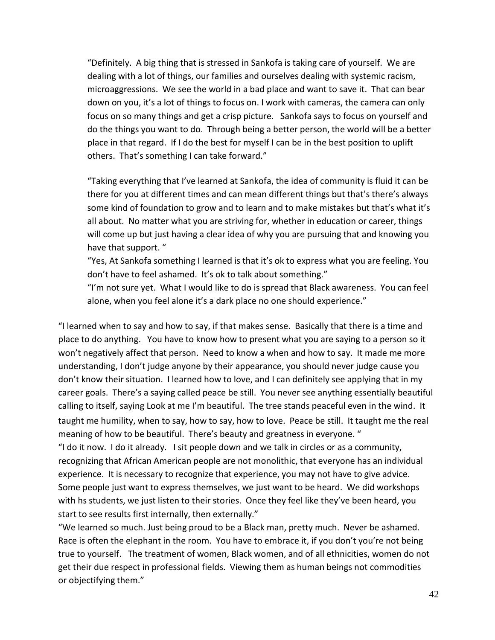"Definitely. A big thing that is stressed in Sankofa is taking care of yourself. We are dealing with a lot of things, our families and ourselves dealing with systemic racism, microaggressions. We see the world in a bad place and want to save it. That can bear down on you, it's a lot of things to focus on. I work with cameras, the camera can only focus on so many things and get a crisp picture. Sankofa says to focus on yourself and do the things you want to do. Through being a better person, the world will be a better place in that regard. If I do the best for myself I can be in the best position to uplift others. That's something I can take forward."

"Taking everything that I've learned at Sankofa, the idea of community is fluid it can be there for you at different times and can mean different things but that's there's always some kind of foundation to grow and to learn and to make mistakes but that's what it's all about. No matter what you are striving for, whether in education or career, things will come up but just having a clear idea of why you are pursuing that and knowing you have that support. "

"Yes, At Sankofa something I learned is that it's ok to express what you are feeling. You don't have to feel ashamed. It's ok to talk about something."

"I'm not sure yet. What I would like to do is spread that Black awareness. You can feel alone, when you feel alone it's a dark place no one should experience."

"I learned when to say and how to say, if that makes sense. Basically that there is a time and place to do anything. You have to know how to present what you are saying to a person so it won't negatively affect that person. Need to know a when and how to say. It made me more understanding, I don't judge anyone by their appearance, you should never judge cause you don't know their situation. I learned how to love, and I can definitely see applying that in my career goals. There's a saying called peace be still. You never see anything essentially beautiful calling to itself, saying Look at me I'm beautiful. The tree stands peaceful even in the wind. It taught me humility, when to say, how to say, how to love. Peace be still. It taught me the real meaning of how to be beautiful. There's beauty and greatness in everyone. "

"I do it now. I do it already. I sit people down and we talk in circles or as a community, recognizing that African American people are not monolithic, that everyone has an individual experience. It is necessary to recognize that experience, you may not have to give advice. Some people just want to express themselves, we just want to be heard. We did workshops with hs students, we just listen to their stories. Once they feel like they've been heard, you start to see results first internally, then externally."

"We learned so much. Just being proud to be a Black man, pretty much. Never be ashamed. Race is often the elephant in the room. You have to embrace it, if you don't you're not being true to yourself. The treatment of women, Black women, and of all ethnicities, women do not get their due respect in professional fields. Viewing them as human beings not commodities or objectifying them."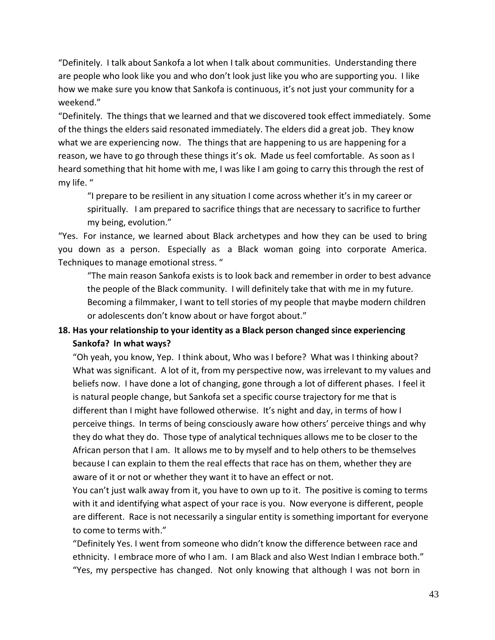"Definitely. I talk about Sankofa a lot when I talk about communities. Understanding there are people who look like you and who don't look just like you who are supporting you. I like how we make sure you know that Sankofa is continuous, it's not just your community for a weekend."

"Definitely. The things that we learned and that we discovered took effect immediately. Some of the things the elders said resonated immediately. The elders did a great job. They know what we are experiencing now. The things that are happening to us are happening for a reason, we have to go through these things it's ok. Made us feel comfortable. As soon as I heard something that hit home with me, I was like I am going to carry this through the rest of my life. "

"I prepare to be resilient in any situation I come across whether it's in my career or spiritually. I am prepared to sacrifice things that are necessary to sacrifice to further my being, evolution."

"Yes. For instance, we learned about Black archetypes and how they can be used to bring you down as a person. Especially as a Black woman going into corporate America. Techniques to manage emotional stress. "

"The main reason Sankofa exists is to look back and remember in order to best advance the people of the Black community. I will definitely take that with me in my future. Becoming a filmmaker, I want to tell stories of my people that maybe modern children or adolescents don't know about or have forgot about."

# **18. Has your relationship to your identity as a Black person changed since experiencing Sankofa? In what ways?**

"Oh yeah, you know, Yep. I think about, Who was I before? What was I thinking about? What was significant. A lot of it, from my perspective now, was irrelevant to my values and beliefs now. I have done a lot of changing, gone through a lot of different phases. I feel it is natural people change, but Sankofa set a specific course trajectory for me that is different than I might have followed otherwise. It's night and day, in terms of how I perceive things. In terms of being consciously aware how others' perceive things and why they do what they do. Those type of analytical techniques allows me to be closer to the African person that I am. It allows me to by myself and to help others to be themselves because I can explain to them the real effects that race has on them, whether they are aware of it or not or whether they want it to have an effect or not.

You can't just walk away from it, you have to own up to it. The positive is coming to terms with it and identifying what aspect of your race is you. Now everyone is different, people are different. Race is not necessarily a singular entity is something important for everyone to come to terms with."

"Definitely Yes. I went from someone who didn't know the difference between race and ethnicity. I embrace more of who I am. I am Black and also West Indian I embrace both." "Yes, my perspective has changed. Not only knowing that although I was not born in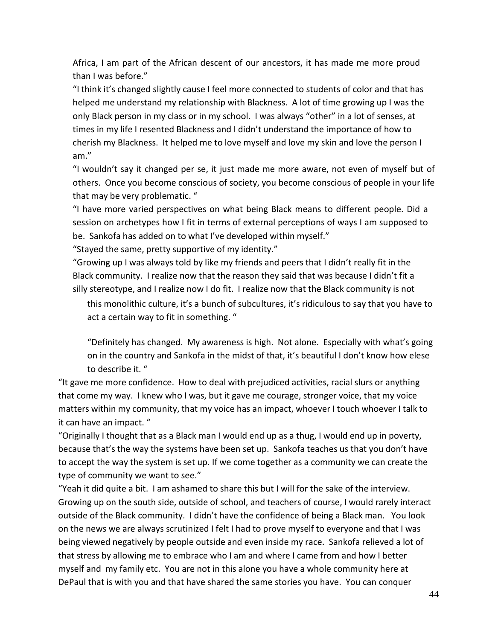Africa, I am part of the African descent of our ancestors, it has made me more proud than I was before."

"I think it's changed slightly cause I feel more connected to students of color and that has helped me understand my relationship with Blackness. A lot of time growing up I was the only Black person in my class or in my school. I was always "other" in a lot of senses, at times in my life I resented Blackness and I didn't understand the importance of how to cherish my Blackness. It helped me to love myself and love my skin and love the person I am."

"I wouldn't say it changed per se, it just made me more aware, not even of myself but of others. Once you become conscious of society, you become conscious of people in your life that may be very problematic. "

"I have more varied perspectives on what being Black means to different people. Did a session on archetypes how I fit in terms of external perceptions of ways I am supposed to be. Sankofa has added on to what I've developed within myself."

"Stayed the same, pretty supportive of my identity."

"Growing up I was always told by like my friends and peers that I didn't really fit in the Black community. I realize now that the reason they said that was because I didn't fit a silly stereotype, and I realize now I do fit. I realize now that the Black community is not

this monolithic culture, it's a bunch of subcultures, it's ridiculous to say that you have to act a certain way to fit in something. "

"Definitely has changed. My awareness is high. Not alone. Especially with what's going on in the country and Sankofa in the midst of that, it's beautiful I don't know how elese to describe it. "

"It gave me more confidence. How to deal with prejudiced activities, racial slurs or anything that come my way. I knew who I was, but it gave me courage, stronger voice, that my voice matters within my community, that my voice has an impact, whoever I touch whoever I talk to it can have an impact. "

"Originally I thought that as a Black man I would end up as a thug, I would end up in poverty, because that's the way the systems have been set up. Sankofa teaches us that you don't have to accept the way the system is set up. If we come together as a community we can create the type of community we want to see."

"Yeah it did quite a bit. I am ashamed to share this but I will for the sake of the interview. Growing up on the south side, outside of school, and teachers of course, I would rarely interact outside of the Black community. I didn't have the confidence of being a Black man. You look on the news we are always scrutinized I felt I had to prove myself to everyone and that I was being viewed negatively by people outside and even inside my race. Sankofa relieved a lot of that stress by allowing me to embrace who I am and where I came from and how I better myself and my family etc. You are not in this alone you have a whole community here at DePaul that is with you and that have shared the same stories you have. You can conquer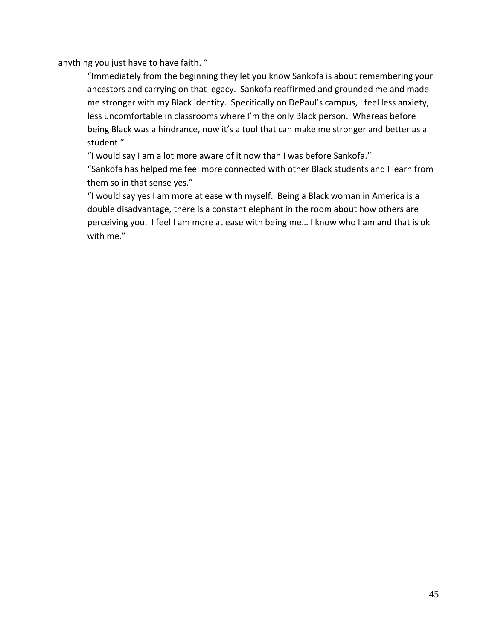anything you just have to have faith. "

"Immediately from the beginning they let you know Sankofa is about remembering your ancestors and carrying on that legacy. Sankofa reaffirmed and grounded me and made me stronger with my Black identity. Specifically on DePaul's campus, I feel less anxiety, less uncomfortable in classrooms where I'm the only Black person. Whereas before being Black was a hindrance, now it's a tool that can make me stronger and better as a student."

"I would say I am a lot more aware of it now than I was before Sankofa."

"Sankofa has helped me feel more connected with other Black students and I learn from them so in that sense yes."

"I would say yes I am more at ease with myself. Being a Black woman in America is a double disadvantage, there is a constant elephant in the room about how others are perceiving you. I feel I am more at ease with being me… I know who I am and that is ok with me."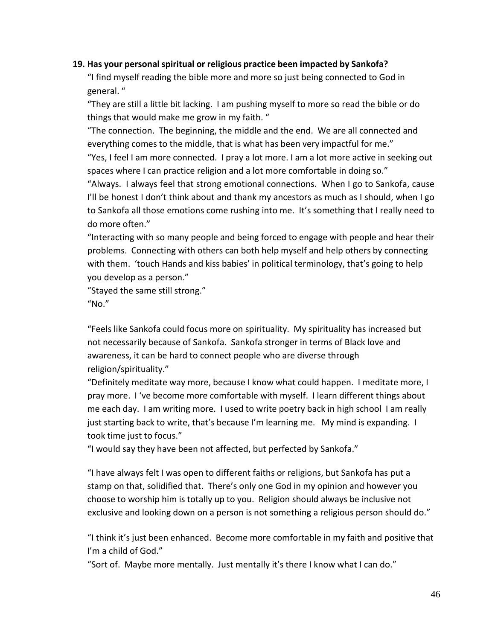#### **19. Has your personal spiritual or religious practice been impacted by Sankofa?**

"I find myself reading the bible more and more so just being connected to God in general. "

"They are still a little bit lacking. I am pushing myself to more so read the bible or do things that would make me grow in my faith. "

"The connection. The beginning, the middle and the end. We are all connected and everything comes to the middle, that is what has been very impactful for me."

"Yes, I feel I am more connected. I pray a lot more. I am a lot more active in seeking out spaces where I can practice religion and a lot more comfortable in doing so."

"Always. I always feel that strong emotional connections. When I go to Sankofa, cause I'll be honest I don't think about and thank my ancestors as much as I should, when I go to Sankofa all those emotions come rushing into me. It's something that I really need to do more often."

"Interacting with so many people and being forced to engage with people and hear their problems. Connecting with others can both help myself and help others by connecting with them. 'touch Hands and kiss babies' in political terminology, that's going to help you develop as a person."

"Stayed the same still strong."

"No."

"Feels like Sankofa could focus more on spirituality. My spirituality has increased but not necessarily because of Sankofa. Sankofa stronger in terms of Black love and awareness, it can be hard to connect people who are diverse through religion/spirituality."

"Definitely meditate way more, because I know what could happen. I meditate more, I pray more. I 've become more comfortable with myself. I learn different things about me each day. I am writing more. I used to write poetry back in high school I am really just starting back to write, that's because I'm learning me. My mind is expanding. I took time just to focus."

"I would say they have been not affected, but perfected by Sankofa."

"I have always felt I was open to different faiths or religions, but Sankofa has put a stamp on that, solidified that. There's only one God in my opinion and however you choose to worship him is totally up to you. Religion should always be inclusive not exclusive and looking down on a person is not something a religious person should do."

"I think it's just been enhanced. Become more comfortable in my faith and positive that I'm a child of God."

"Sort of. Maybe more mentally. Just mentally it's there I know what I can do."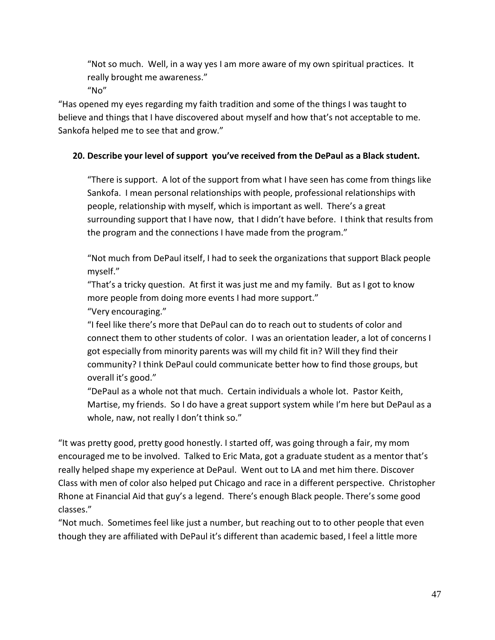"Not so much. Well, in a way yes I am more aware of my own spiritual practices. It really brought me awareness."

 $''$ No"

"Has opened my eyes regarding my faith tradition and some of the things I was taught to believe and things that I have discovered about myself and how that's not acceptable to me. Sankofa helped me to see that and grow."

# **20. Describe your level of support you've received from the DePaul as a Black student.**

"There is support. A lot of the support from what I have seen has come from things like Sankofa. I mean personal relationships with people, professional relationships with people, relationship with myself, which is important as well. There's a great surrounding support that I have now, that I didn't have before. I think that results from the program and the connections I have made from the program."

"Not much from DePaul itself, I had to seek the organizations that support Black people myself."

"That's a tricky question. At first it was just me and my family. But as I got to know more people from doing more events I had more support."

"Very encouraging."

"I feel like there's more that DePaul can do to reach out to students of color and connect them to other students of color. I was an orientation leader, a lot of concerns I got especially from minority parents was will my child fit in? Will they find their community? I think DePaul could communicate better how to find those groups, but overall it's good."

"DePaul as a whole not that much. Certain individuals a whole lot. Pastor Keith, Martise, my friends. So I do have a great support system while I'm here but DePaul as a whole, naw, not really I don't think so."

"It was pretty good, pretty good honestly. I started off, was going through a fair, my mom encouraged me to be involved. Talked to Eric Mata, got a graduate student as a mentor that's really helped shape my experience at DePaul. Went out to LA and met him there. Discover Class with men of color also helped put Chicago and race in a different perspective. Christopher Rhone at Financial Aid that guy's a legend. There's enough Black people. There's some good classes."

"Not much. Sometimes feel like just a number, but reaching out to to other people that even though they are affiliated with DePaul it's different than academic based, I feel a little more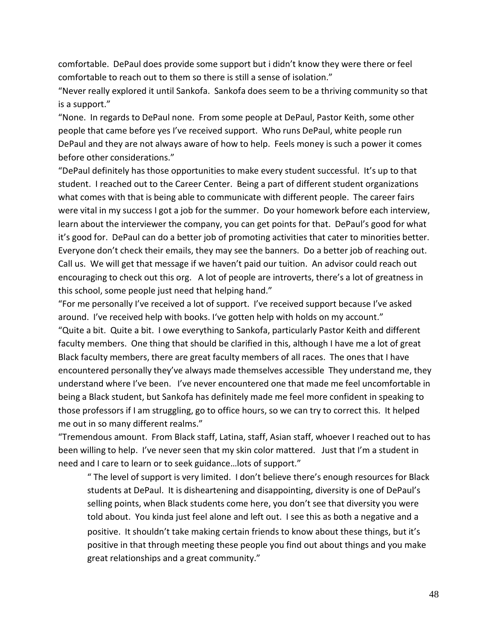comfortable. DePaul does provide some support but i didn't know they were there or feel comfortable to reach out to them so there is still a sense of isolation."

"Never really explored it until Sankofa. Sankofa does seem to be a thriving community so that is a support."

"None. In regards to DePaul none. From some people at DePaul, Pastor Keith, some other people that came before yes I've received support. Who runs DePaul, white people run DePaul and they are not always aware of how to help. Feels money is such a power it comes before other considerations."

"DePaul definitely has those opportunities to make every student successful. It's up to that student. I reached out to the Career Center. Being a part of different student organizations what comes with that is being able to communicate with different people. The career fairs were vital in my success I got a job for the summer. Do your homework before each interview, learn about the interviewer the company, you can get points for that. DePaul's good for what it's good for. DePaul can do a better job of promoting activities that cater to minorities better. Everyone don't check their emails, they may see the banners. Do a better job of reaching out. Call us. We will get that message if we haven't paid our tuition. An advisor could reach out encouraging to check out this org. A lot of people are introverts, there's a lot of greatness in this school, some people just need that helping hand."

"For me personally I've received a lot of support. I've received support because I've asked around. I've received help with books. I've gotten help with holds on my account." "Quite a bit. Quite a bit. I owe everything to Sankofa, particularly Pastor Keith and different faculty members. One thing that should be clarified in this, although I have me a lot of great Black faculty members, there are great faculty members of all races. The ones that I have encountered personally they've always made themselves accessible They understand me, they understand where I've been. I've never encountered one that made me feel uncomfortable in being a Black student, but Sankofa has definitely made me feel more confident in speaking to those professors if I am struggling, go to office hours, so we can try to correct this. It helped me out in so many different realms."

"Tremendous amount. From Black staff, Latina, staff, Asian staff, whoever I reached out to has been willing to help. I've never seen that my skin color mattered. Just that I'm a student in need and I care to learn or to seek guidance…lots of support."

" The level of support is very limited. I don't believe there's enough resources for Black students at DePaul. It is disheartening and disappointing, diversity is one of DePaul's selling points, when Black students come here, you don't see that diversity you were told about. You kinda just feel alone and left out. I see this as both a negative and a positive. It shouldn't take making certain friends to know about these things, but it's positive in that through meeting these people you find out about things and you make great relationships and a great community."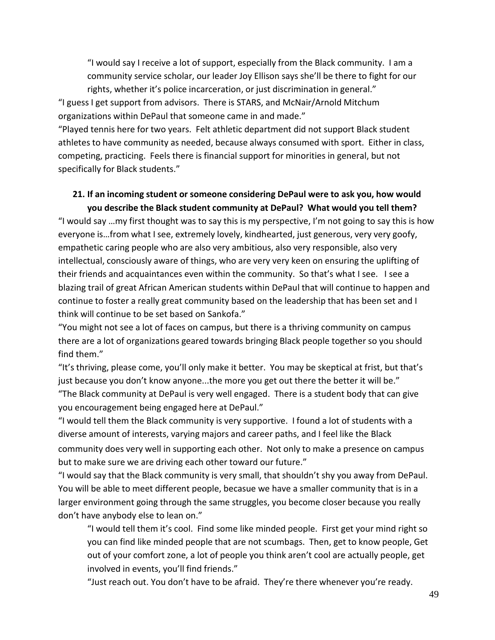"I would say I receive a lot of support, especially from the Black community. I am a community service scholar, our leader Joy Ellison says she'll be there to fight for our rights, whether it's police incarceration, or just discrimination in general."

"I guess I get support from advisors. There is STARS, and McNair/Arnold Mitchum organizations within DePaul that someone came in and made."

"Played tennis here for two years. Felt athletic department did not support Black student athletes to have community as needed, because always consumed with sport. Either in class, competing, practicing. Feels there is financial support for minorities in general, but not specifically for Black students."

# **21. If an incoming student or someone considering DePaul were to ask you, how would you describe the Black student community at DePaul? What would you tell them?**

"I would say …my first thought was to say this is my perspective, I'm not going to say this is how everyone is…from what I see, extremely lovely, kindhearted, just generous, very very goofy, empathetic caring people who are also very ambitious, also very responsible, also very intellectual, consciously aware of things, who are very very keen on ensuring the uplifting of their friends and acquaintances even within the community. So that's what I see. I see a blazing trail of great African American students within DePaul that will continue to happen and continue to foster a really great community based on the leadership that has been set and I think will continue to be set based on Sankofa."

"You might not see a lot of faces on campus, but there is a thriving community on campus there are a lot of organizations geared towards bringing Black people together so you should find them."

"It's thriving, please come, you'll only make it better. You may be skeptical at frist, but that's just because you don't know anyone...the more you get out there the better it will be." "The Black community at DePaul is very well engaged. There is a student body that can give

you encouragement being engaged here at DePaul." "I would tell them the Black community is very supportive. I found a lot of students with a diverse amount of interests, varying majors and career paths, and I feel like the Black

community does very well in supporting each other. Not only to make a presence on campus but to make sure we are driving each other toward our future."

"I would say that the Black community is very small, that shouldn't shy you away from DePaul. You will be able to meet different people, becasue we have a smaller community that is in a larger environment going through the same struggles, you become closer because you really don't have anybody else to lean on."

"I would tell them it's cool. Find some like minded people. First get your mind right so you can find like minded people that are not scumbags. Then, get to know people, Get out of your comfort zone, a lot of people you think aren't cool are actually people, get involved in events, you'll find friends."

"Just reach out. You don't have to be afraid. They're there whenever you're ready.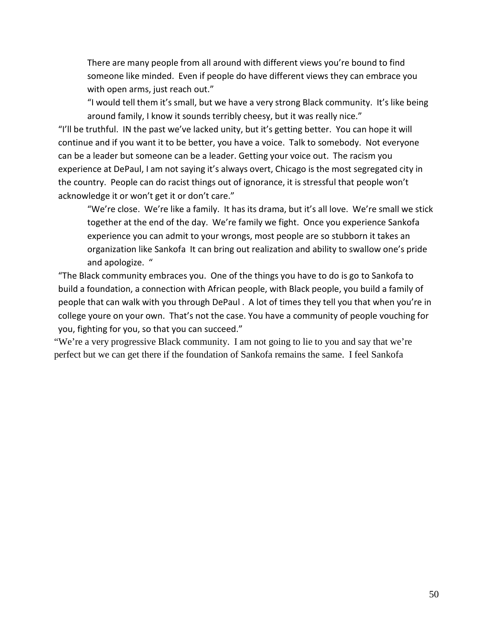There are many people from all around with different views you're bound to find someone like minded. Even if people do have different views they can embrace you with open arms, just reach out."

"I would tell them it's small, but we have a very strong Black community. It's like being around family, I know it sounds terribly cheesy, but it was really nice."

"I'll be truthful. IN the past we've lacked unity, but it's getting better. You can hope it will continue and if you want it to be better, you have a voice. Talk to somebody. Not everyone can be a leader but someone can be a leader. Getting your voice out. The racism you experience at DePaul, I am not saying it's always overt, Chicago is the most segregated city in the country. People can do racist things out of ignorance, it is stressful that people won't acknowledge it or won't get it or don't care."

"We're close. We're like a family. It has its drama, but it's all love. We're small we stick together at the end of the day. We're family we fight. Once you experience Sankofa experience you can admit to your wrongs, most people are so stubborn it takes an organization like Sankofa It can bring out realization and ability to swallow one's pride and apologize. "

"The Black community embraces you. One of the things you have to do is go to Sankofa to build a foundation, a connection with African people, with Black people, you build a family of people that can walk with you through DePaul . A lot of times they tell you that when you're in college youre on your own. That's not the case. You have a community of people vouching for you, fighting for you, so that you can succeed."

"We're a very progressive Black community. I am not going to lie to you and say that we're perfect but we can get there if the foundation of Sankofa remains the same. I feel Sankofa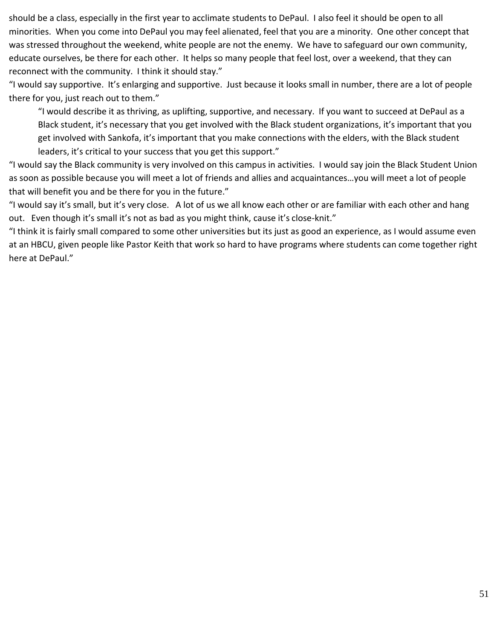should be a class, especially in the first year to acclimate students to DePaul. I also feel it should be open to all minorities. When you come into DePaul you may feel alienated, feel that you are a minority. One other concept that was stressed throughout the weekend, white people are not the enemy. We have to safeguard our own community, educate ourselves, be there for each other. It helps so many people that feel lost, over a weekend, that they can reconnect with the community. I think it should stay."

"I would say supportive. It's enlarging and supportive. Just because it looks small in number, there are a lot of people there for you, just reach out to them."

"I would describe it as thriving, as uplifting, supportive, and necessary. If you want to succeed at DePaul as a Black student, it's necessary that you get involved with the Black student organizations, it's important that you get involved with Sankofa, it's important that you make connections with the elders, with the Black student leaders, it's critical to your success that you get this support."

"I would say the Black community is very involved on this campus in activities. I would say join the Black Student Union as soon as possible because you will meet a lot of friends and allies and acquaintances…you will meet a lot of people that will benefit you and be there for you in the future."

"I would say it's small, but it's very close. A lot of us we all know each other or are familiar with each other and hang out. Even though it's small it's not as bad as you might think, cause it's close-knit."

"I think it is fairly small compared to some other universities but its just as good an experience, as I would assume even at an HBCU, given people like Pastor Keith that work so hard to have programs where students can come together right here at DePaul."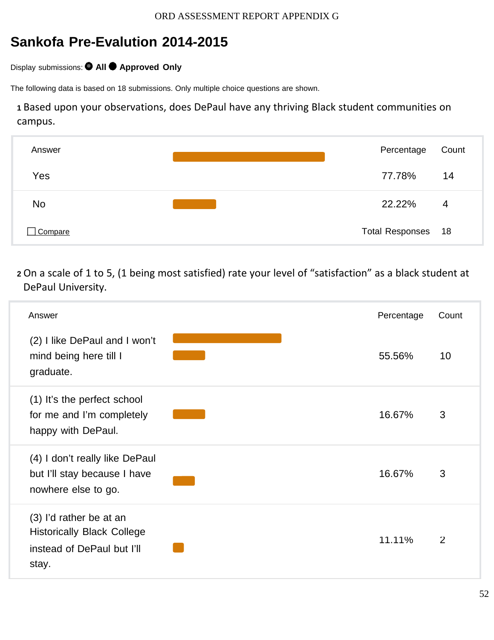# **Sankofa Pre-Evalution 2014-2015**

Display submissions: **All Approved Only**

The following data is based on 18 submissions. Only multiple choice questions are shown.

**<sup>1</sup>** Based upon your observations, does DePaul have any thriving Black student communities on campus.

| Answer    | Percentage         | Count |
|-----------|--------------------|-------|
| Yes       | 77.78%             | 14    |
| <b>No</b> | 22.22%             | 4     |
| Compare   | Total Responses 18 |       |

**<sup>2</sup>** On a scale of 1 to 5, (1 being most satisfied) rate your level of "satisfaction" as a black student at DePaul University.

| Answer                                                                                              | Percentage | Count          |
|-----------------------------------------------------------------------------------------------------|------------|----------------|
| (2) I like DePaul and I won't<br>mind being here till I<br>graduate.                                | 55.56%     | 10             |
| (1) It's the perfect school<br>for me and I'm completely<br>happy with DePaul.                      | 16.67%     | 3              |
| (4) I don't really like DePaul<br>but I'll stay because I have<br>nowhere else to go.               | 16.67%     | 3              |
| (3) I'd rather be at an<br><b>Historically Black College</b><br>instead of DePaul but I'll<br>stay. | 11.11%     | $\overline{2}$ |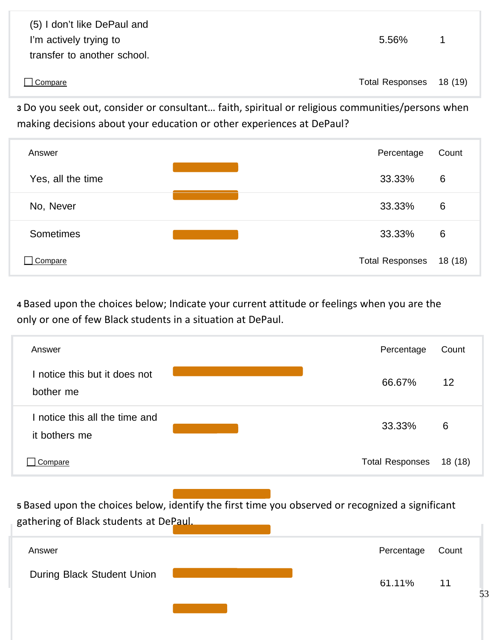(5) I don't like DePaul and I'm actively trying to **1** actively trying to **5.56%** 1 transfer to another school.

□ Compare Total Responses 18 (19)

**<sup>3</sup>** Do you seek out, consider or consultant… faith, spiritual or religious communities/persons when making decisions about your education or other experiences at DePaul?

| Answer            | Percentage             | Count  |
|-------------------|------------------------|--------|
| Yes, all the time | 33.33%                 | 6      |
| No, Never         | 33.33%                 | 6      |
| <b>Sometimes</b>  | 33.33%                 | 6      |
| Compare           | <b>Total Responses</b> | 18(18) |

**<sup>4</sup>** Based upon the choices below; Indicate your current attitude or feelings when you are the only or one of few Black students in a situation at DePaul.

| Answer                                          | Percentage             | Count   |
|-------------------------------------------------|------------------------|---------|
| I notice this but it does not<br>bother me      | 66.67%                 | $12 \,$ |
| I notice this all the time and<br>it bothers me | 33.33%                 | 6       |
| Compare                                         | <b>Total Responses</b> | 18(18)  |

**<sup>5</sup>** Based upon the choices below, identify the first time you observed or recognized a significant gathering of Black students at DePaul.

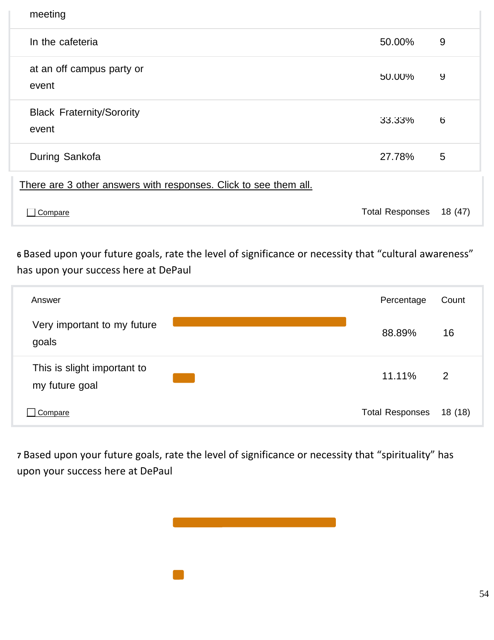| meeting                                                          |                        |         |
|------------------------------------------------------------------|------------------------|---------|
| In the cafeteria                                                 | 50.00%                 | 9       |
| at an off campus party or<br>event                               | 50.00%                 | 9       |
| <b>Black Fraternity/Sorority</b><br>event                        | 33.33%                 | 6       |
| During Sankofa                                                   | 27.78%                 | 5       |
| There are 3 other answers with responses. Click to see them all. |                        |         |
| Compare                                                          | <b>Total Responses</b> | 18 (47) |

**<sup>6</sup>** Based upon your future goals, rate the level of significance or necessity that "cultural awareness" has upon your success here at DePaul

| Answer                                        | Percentage             | Count          |
|-----------------------------------------------|------------------------|----------------|
| Very important to my future<br>goals          | 88.89%                 | 16             |
| This is slight important to<br>my future goal | 11.11%                 | $\overline{2}$ |
| Compare                                       | <b>Total Responses</b> | 18(18)         |

**<sup>7</sup>** Based upon your future goals, rate the level of significance or necessity that "spirituality" has upon your success here at DePaul

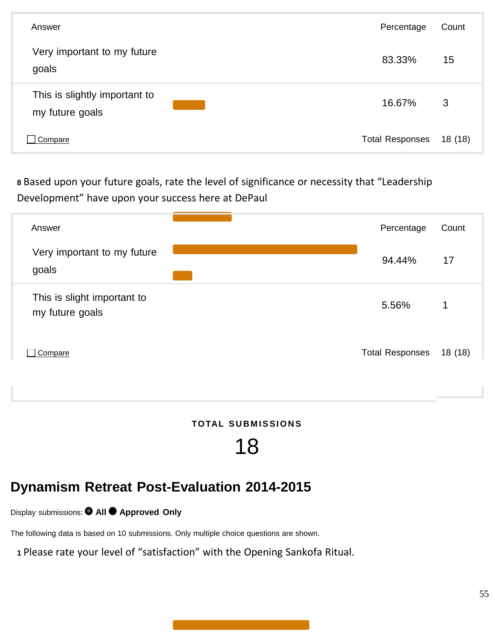| Answer                                           | Percentage             | Count  |
|--------------------------------------------------|------------------------|--------|
| Very important to my future<br>goals             | 83.33%                 | 15     |
| This is slightly important to<br>my future goals | 16.67%                 | 3      |
| Compare                                          | <b>Total Responses</b> | 18(18) |

**<sup>8</sup>** Based upon your future goals, rate the level of significance or necessity that "Leadership Development" have upon your success here at DePaul



 $TOTAL$  **SUBMISSIONS** 

# 18

# **Dynamism Retreat Post-Evaluation 2014-2015**

Display submissions: **All Approved Only**

The following data is based on 10 submissions. Only multiple choice questions are shown.

**<sup>1</sup>** Please rate your level of "satisfaction" with the Opening Sankofa Ritual.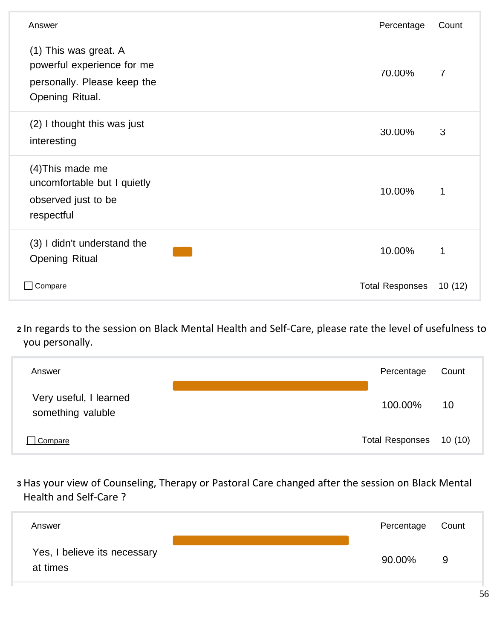| Answer                                                                                                | Percentage             | Count          |
|-------------------------------------------------------------------------------------------------------|------------------------|----------------|
| (1) This was great. A<br>powerful experience for me<br>personally. Please keep the<br>Opening Ritual. | 70.00%                 | $\overline{I}$ |
| (2) I thought this was just<br>interesting                                                            | 30.00%                 | $\mathbf{3}$   |
| (4) This made me<br>uncomfortable but I quietly<br>observed just to be<br>respectful                  | 10.00%                 | 1              |
| (3) I didn't understand the<br><b>Opening Ritual</b>                                                  | 10.00%                 | 1              |
| Compare                                                                                               | <b>Total Responses</b> | 10(12)         |

**<sup>2</sup>** In regards to the session on Black Mental Health and Self‐Care, please rate the level of usefulness to you personally.

| Answer                                      | Percentage             | Count   |
|---------------------------------------------|------------------------|---------|
| Very useful, I learned<br>something valuble | 100.00%                | 10      |
| Compare                                     | <b>Total Responses</b> | 10 (10) |

**<sup>3</sup>** Has your view of Counseling, Therapy or Pastoral Care changed after the session on Black Mental Health and Self‐Care ?

| Answer                                   | Percentage | Count |
|------------------------------------------|------------|-------|
| Yes, I believe its necessary<br>at times | 90.00%     | 9     |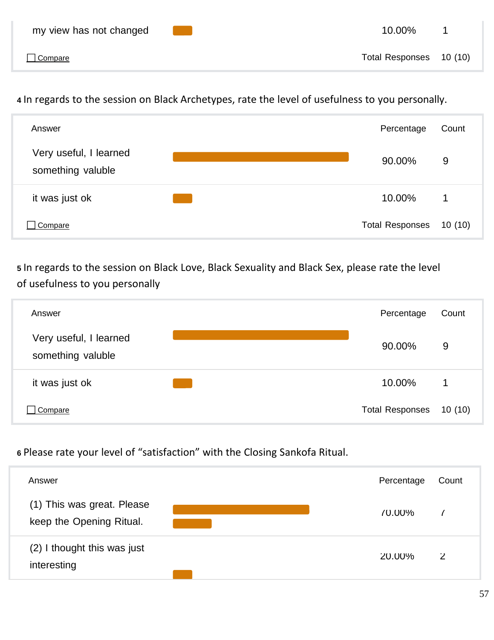**<sup>4</sup>** In regards to the session on Black Archetypes, rate the level of usefulness to you personally.



**<sup>5</sup>** In regards to the session on Black Love, Black Sexuality and Black Sex, please rate the level of usefulness to you personally



**<sup>6</sup>** Please rate your level of "satisfaction" with the Closing Sankofa Ritual.

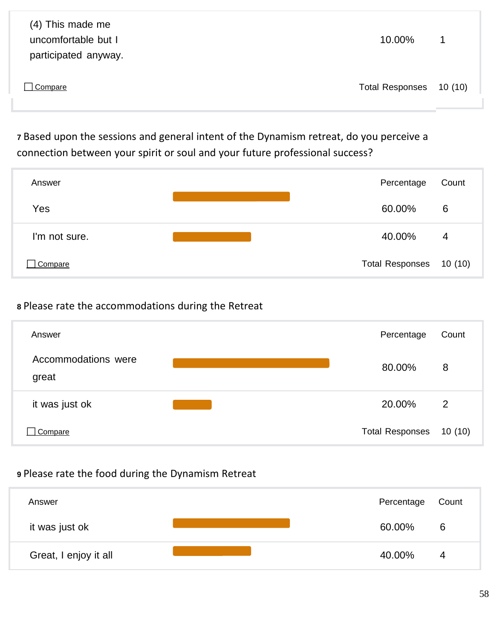| (4) This made me<br>uncomfortable but I<br>participated anyway. | 10.00%                  | $\overline{1}$ |
|-----------------------------------------------------------------|-------------------------|----------------|
| Compare                                                         | Total Responses 10 (10) |                |

**<sup>7</sup>** Based upon the sessions and general intent of the Dynamism retreat, do you perceive a connection between your spirit or soul and your future professional success?

| Answer        | Percentage             | Count   |
|---------------|------------------------|---------|
| Yes           | 60.00%                 | 6       |
| I'm not sure. | 40.00%                 | 4       |
| Compare       | <b>Total Responses</b> | 10 (10) |

# **<sup>8</sup>** Please rate the accommodations during the Retreat

| Answer                       | Percentage             | Count          |
|------------------------------|------------------------|----------------|
| Accommodations were<br>great | 80.00%                 | 8              |
| it was just ok               | 20.00%                 | $\overline{2}$ |
| Compare                      | <b>Total Responses</b> | 10(10)         |

# **<sup>9</sup>** Please rate the food during the Dynamism Retreat

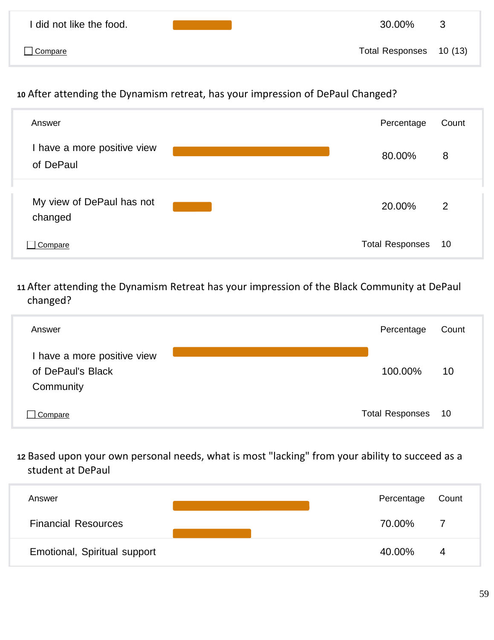| I did not like the food. | 30.00%                  | $\mathbf{3}$ |
|--------------------------|-------------------------|--------------|
| Compare                  | Total Responses 10 (13) |              |

# **<sup>10</sup>** After attending the Dynamism retreat, has your impression of DePaul Changed?



**<sup>11</sup>** After attending the Dynamism Retreat has your impression of the Black Community at DePaul changed?

| Answer                                                        | Percentage             | Count |
|---------------------------------------------------------------|------------------------|-------|
| I have a more positive view<br>of DePaul's Black<br>Community | 100.00%                | 10    |
| Compare                                                       | <b>Total Responses</b> | 10    |

**<sup>12</sup>** Based upon your own personal needs, what is most "lacking" from your ability to succeed as a student at DePaul

| Answer                       |  | Percentage | Count |
|------------------------------|--|------------|-------|
| <b>Financial Resources</b>   |  | 70.00%     | 7     |
| Emotional, Spiritual support |  | 40.00%     | 4     |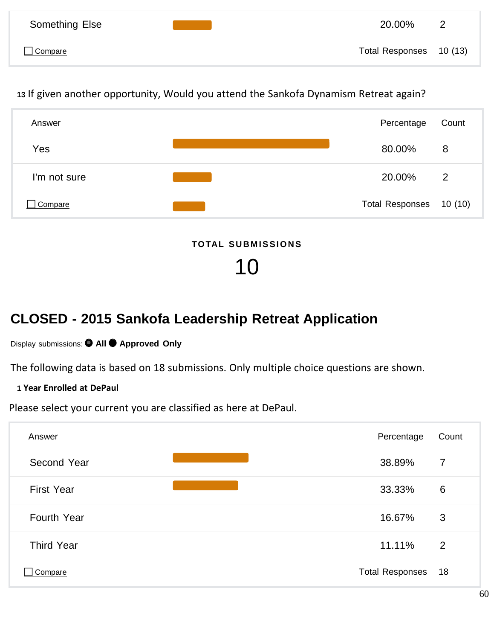| Something Else | 20.00%                  | $\overline{2}$ |
|----------------|-------------------------|----------------|
| $\Box$ Compare | Total Responses 10 (13) |                |

**<sup>13</sup>** If given another opportunity, Would you attend the Sankofa Dynamism Retreat again?



 $TOTAL$  SUBMISSIONS

10

# **CLOSED - 2015 Sankofa Leadership Retreat Application**

# Display submissions: **All Approved Only**

The following data is based on 18 submissions. Only multiple choice questions are shown.

# **1 Year Enrolled at DePaul**

Please select your current you are classified as here at DePaul.

| Answer            | Percentage             | Count          |
|-------------------|------------------------|----------------|
| Second Year       | 38.89%                 | $\overline{7}$ |
| <b>First Year</b> | 33.33%                 | 6              |
| Fourth Year       | 16.67%                 | 3              |
| <b>Third Year</b> | 11.11%                 | 2              |
| Compare           | <b>Total Responses</b> | 18             |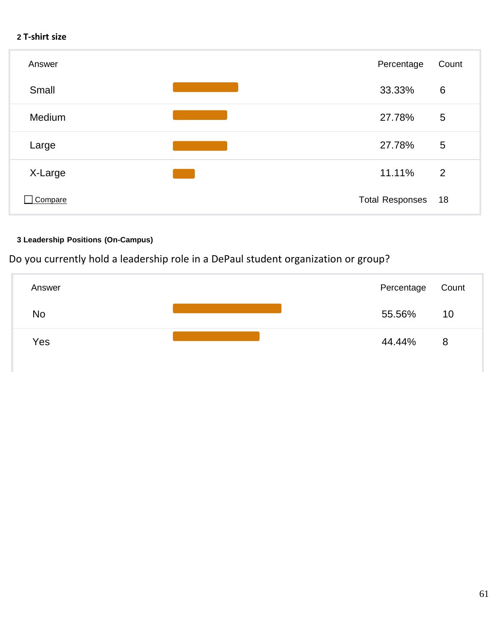#### **2 T‐shirt size**



#### **3 Leadership Positions (On-Campus)**

Do you currently hold a leadership role in a DePaul student organization or group?

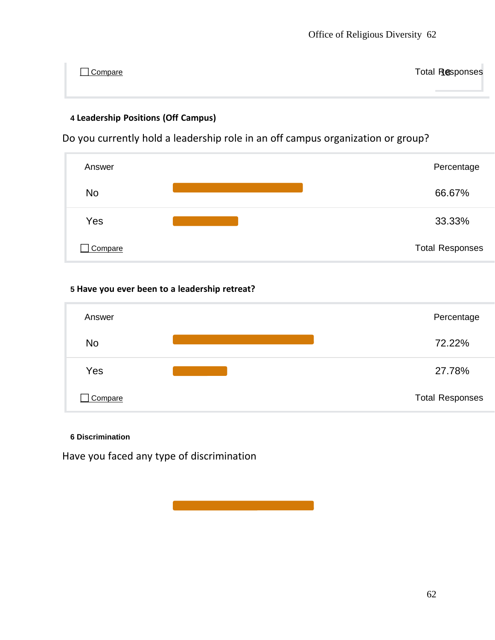<u>∩ Compare</u> Total Responses

### **4 Leadership Positions (Off Campus)**

Do you currently hold a leadership role in an off campus organization or group?



#### **5 Have you ever been to a leadership retreat?**



#### **6 Discrimination**

Have you faced any type of discrimination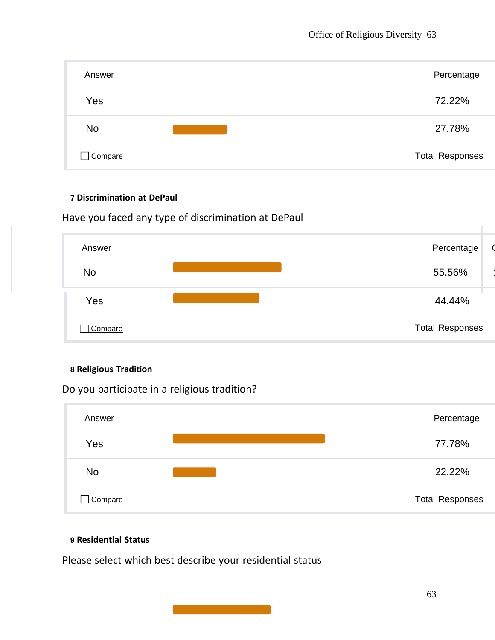| Answer    | Percentage             |
|-----------|------------------------|
| Yes       | 72.22%                 |
| <b>No</b> | 27.78%                 |
| Compare   | <b>Total Responses</b> |

#### **7 Discrimination at DePaul**

Have you faced any type of discrimination at DePaul



#### **8 Religious Tradition**

Do you participate in a religious tradition?



#### **9 Residential Status**

Please select which best describe your residential status